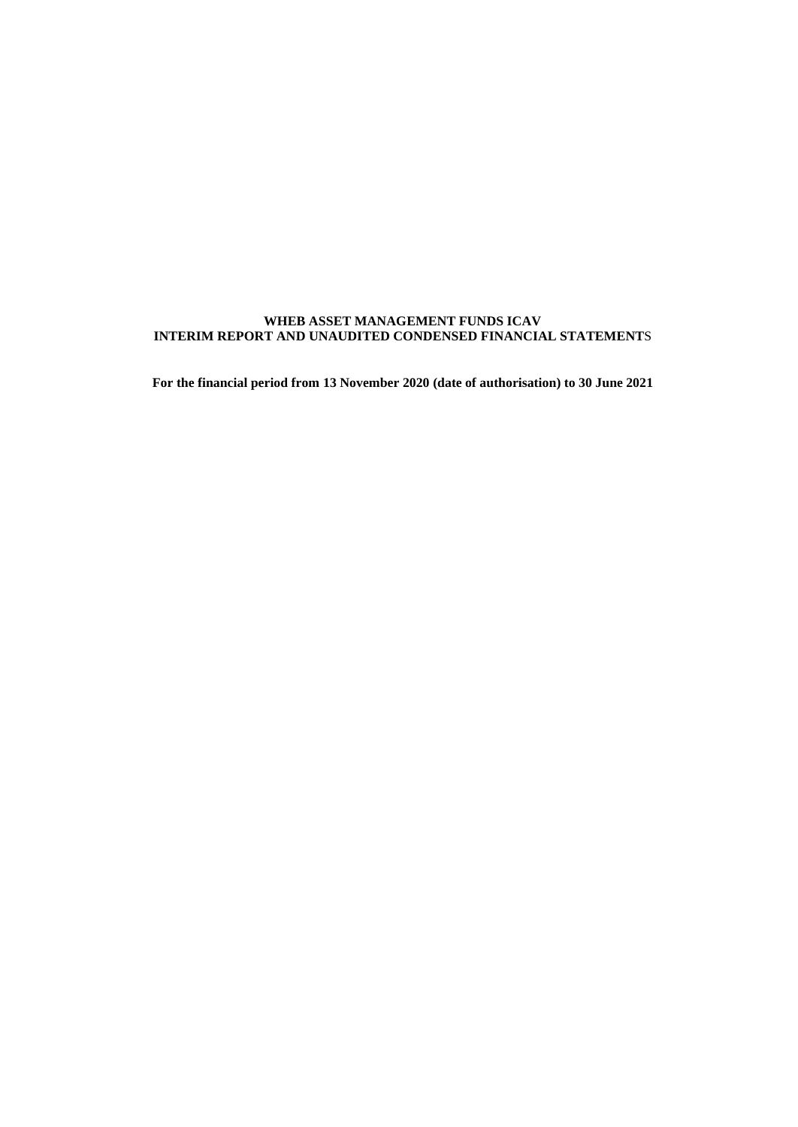# **WHEB ASSET MANAGEMENT FUNDS ICAV INTERIM REPORT AND UNAUDITED CONDENSED FINANCIAL STATEMENT**S

**For the financial period from 13 November 2020 (date of authorisation) to 30 June 2021**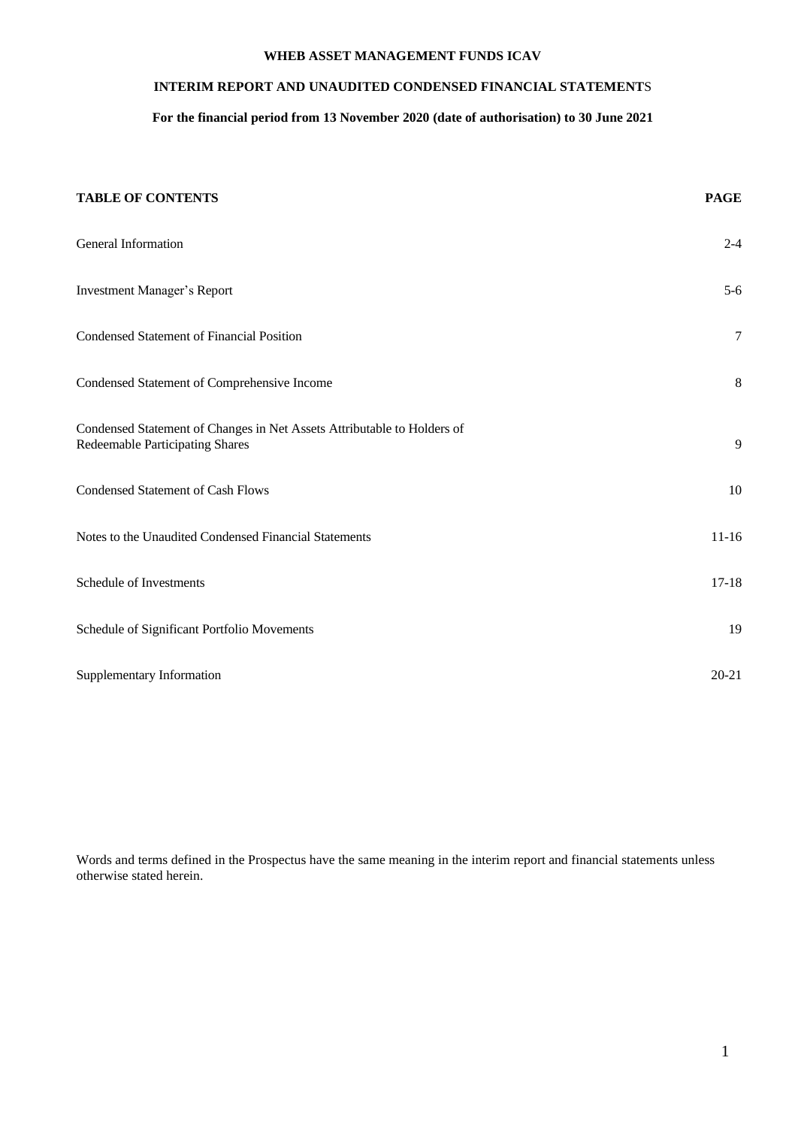# **INTERIM REPORT AND UNAUDITED CONDENSED FINANCIAL STATEMENT**S

# **For the financial period from 13 November 2020 (date of authorisation) to 30 June 2021**

| <b>TABLE OF CONTENTS</b>                                                                                   | <b>PAGE</b>      |
|------------------------------------------------------------------------------------------------------------|------------------|
| General Information                                                                                        | $2 - 4$          |
| <b>Investment Manager's Report</b>                                                                         | $5 - 6$          |
| Condensed Statement of Financial Position                                                                  | $\boldsymbol{7}$ |
| Condensed Statement of Comprehensive Income                                                                | 8                |
| Condensed Statement of Changes in Net Assets Attributable to Holders of<br>Redeemable Participating Shares | 9                |
| <b>Condensed Statement of Cash Flows</b>                                                                   | 10               |
| Notes to the Unaudited Condensed Financial Statements                                                      | $11 - 16$        |
| Schedule of Investments                                                                                    | $17 - 18$        |
| Schedule of Significant Portfolio Movements                                                                | 19               |
| Supplementary Information                                                                                  | $20 - 21$        |

Words and terms defined in the Prospectus have the same meaning in the interim report and financial statements unless otherwise stated herein.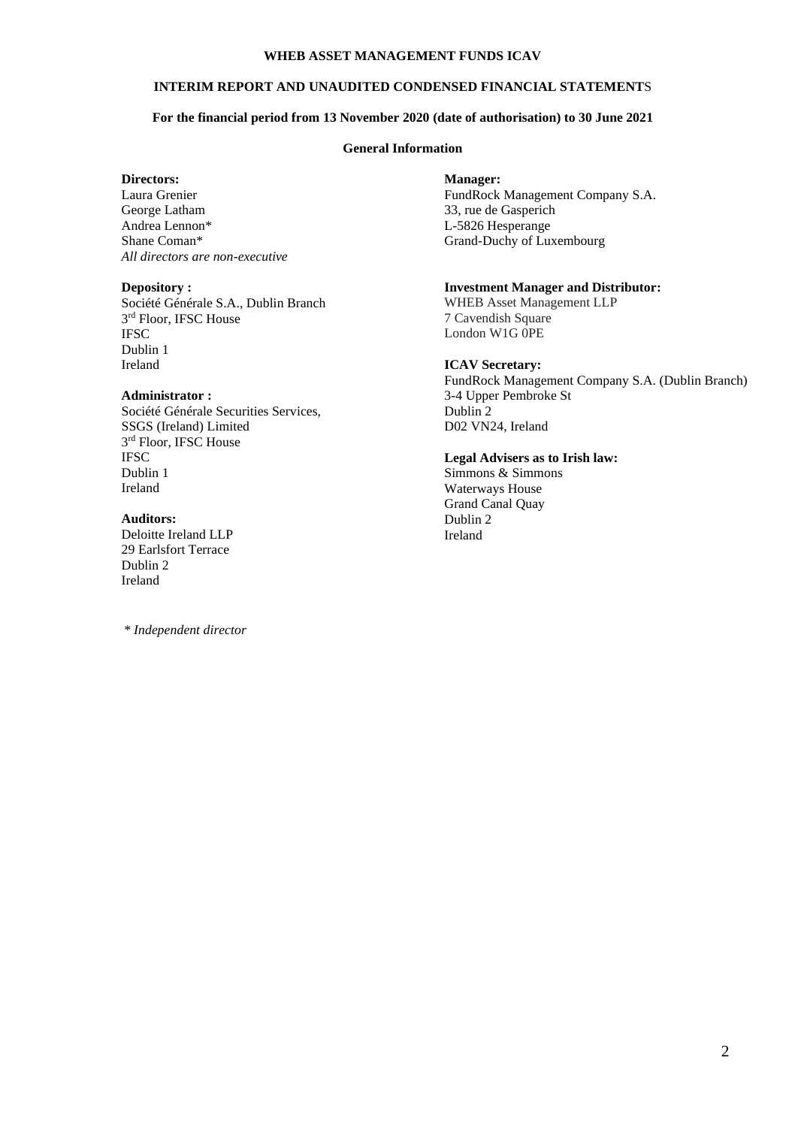## **INTERIM REPORT AND UNAUDITED CONDENSED FINANCIAL STATEMENT**S

# **For the financial period from 13 November 2020 (date of authorisation) to 30 June 2021**

## **General Information**

#### **Directors:**

Laura Grenier George Latham Andrea Lennon\* Shane Coman\* *All directors are non-executive*

#### **Depository :**

Société Générale S.A., Dublin Branch 3<sup>rd</sup> Floor, IFSC House **IFSC** Dublin 1 Ireland

# **Administrator :**

Société Générale Securities Services, SSGS (Ireland) Limited 3<sup>rd</sup> Floor, IFSC House **IFSC** Dublin 1 Ireland

# **Auditors:**

Deloitte Ireland LLP 29 Earlsfort Terrace Dublin 2 Ireland

*\* Independent director*

#### **Manager:**

FundRock Management Company S.A. 33, rue de Gasperich L-5826 Hesperange Grand-Duchy of Luxembourg

# **Investment Manager and Distributor:**

WHEB Asset Management LLP 7 Cavendish Square London W1G 0PE

## **ICAV Secretary:**

FundRock Management Company S.A. (Dublin Branch) 3-4 Upper Pembroke St Dublin 2 D02 VN24, Ireland

#### **Legal Advisers as to Irish law:** Simmons & Simmons

Waterways House Grand Canal Quay Dublin 2 Ireland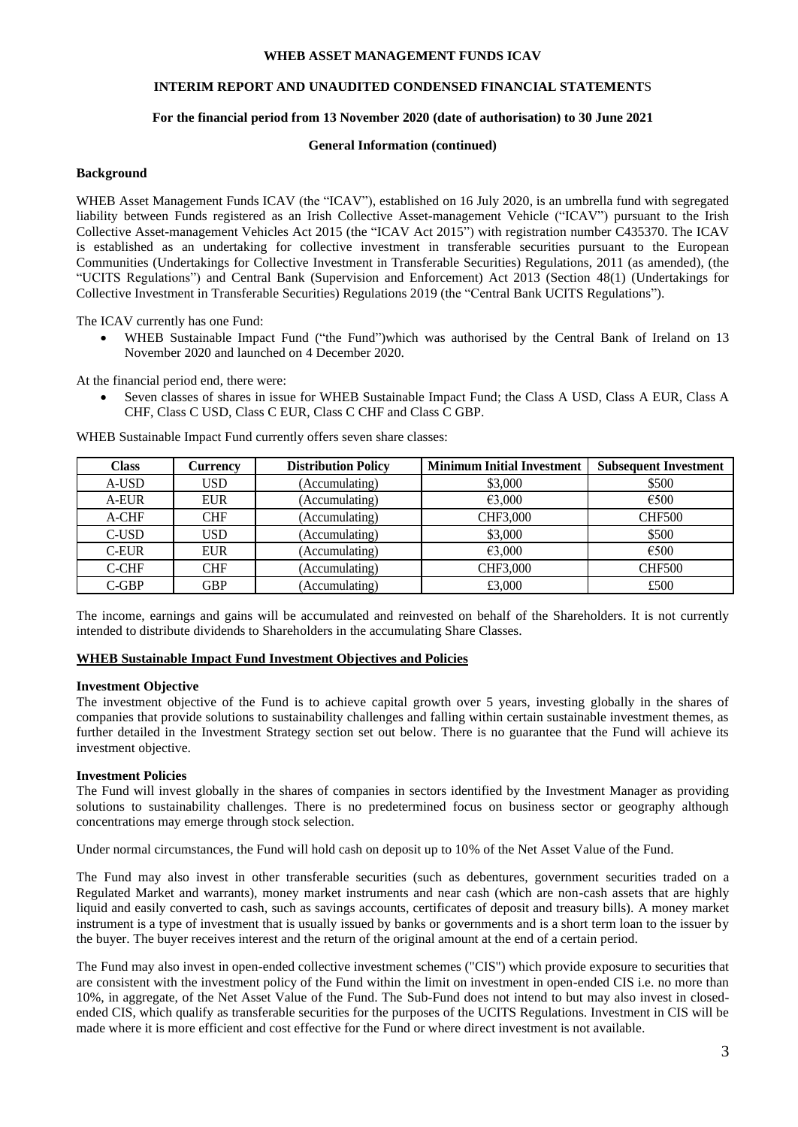# **INTERIM REPORT AND UNAUDITED CONDENSED FINANCIAL STATEMENT**S

## **For the financial period from 13 November 2020 (date of authorisation) to 30 June 2021**

#### **General Information (continued)**

## **Background**

WHEB Asset Management Funds ICAV (the "ICAV"), established on 16 July 2020, is an umbrella fund with segregated liability between Funds registered as an Irish Collective Asset-management Vehicle ("ICAV") pursuant to the Irish Collective Asset-management Vehicles Act 2015 (the "ICAV Act 2015") with registration number C435370. The ICAV is established as an undertaking for collective investment in transferable securities pursuant to the European Communities (Undertakings for Collective Investment in Transferable Securities) Regulations, 2011 (as amended), (the "UCITS Regulations") and Central Bank (Supervision and Enforcement) Act 2013 (Section 48(1) (Undertakings for Collective Investment in Transferable Securities) Regulations 2019 (the "Central Bank UCITS Regulations").

The ICAV currently has one Fund:

• WHEB Sustainable Impact Fund ("the Fund")which was authorised by the Central Bank of Ireland on 13 November 2020 and launched on 4 December 2020.

At the financial period end, there were:

• Seven classes of shares in issue for WHEB Sustainable Impact Fund; the Class A USD, Class A EUR, Class A CHF, Class C USD, Class C EUR, Class C CHF and Class C GBP.

| Class | <b>Currency</b> | <b>Distribution Policy</b> | <b>Minimum Initial Investment</b> | <b>Subsequent Investment</b> |
|-------|-----------------|----------------------------|-----------------------------------|------------------------------|
| A-USD | USD             | (Accumulating)             | \$3,000                           | \$500                        |
| A-EUR | EUR             | (Accumulating)             | €3,000                            | €500                         |
| A-CHF | <b>CHF</b>      | (Accumulating)             | CHF3,000                          | <b>CHF500</b>                |
| C-USD | <b>USD</b>      | (Accumulating)             | \$3,000                           | \$500                        |
| C-EUR | <b>EUR</b>      | (Accumulating)             | €3,000                            | €500                         |
| C-CHF | <b>CHF</b>      | (Accumulating)             | CHF3,000                          | <b>CHF500</b>                |
| C-GBP | <b>GBP</b>      | (Accumulating)             | £3,000                            | £500                         |

WHEB Sustainable Impact Fund currently offers seven share classes:

The income, earnings and gains will be accumulated and reinvested on behalf of the Shareholders. It is not currently intended to distribute dividends to Shareholders in the accumulating Share Classes.

## **WHEB Sustainable Impact Fund Investment Objectives and Policies**

#### **Investment Objective**

The investment objective of the Fund is to achieve capital growth over 5 years, investing globally in the shares of companies that provide solutions to sustainability challenges and falling within certain sustainable investment themes, as further detailed in the Investment Strategy section set out below. There is no guarantee that the Fund will achieve its investment objective.

#### **Investment Policies**

The Fund will invest globally in the shares of companies in sectors identified by the Investment Manager as providing solutions to sustainability challenges. There is no predetermined focus on business sector or geography although concentrations may emerge through stock selection.

Under normal circumstances, the Fund will hold cash on deposit up to 10% of the Net Asset Value of the Fund.

The Fund may also invest in other transferable securities (such as debentures, government securities traded on a Regulated Market and warrants), money market instruments and near cash (which are non-cash assets that are highly liquid and easily converted to cash, such as savings accounts, certificates of deposit and treasury bills). A money market instrument is a type of investment that is usually issued by banks or governments and is a short term loan to the issuer by the buyer. The buyer receives interest and the return of the original amount at the end of a certain period.

The Fund may also invest in open-ended collective investment schemes ("CIS") which provide exposure to securities that are consistent with the investment policy of the Fund within the limit on investment in open-ended CIS i.e. no more than 10%, in aggregate, of the Net Asset Value of the Fund. The Sub-Fund does not intend to but may also invest in closedended CIS, which qualify as transferable securities for the purposes of the UCITS Regulations. Investment in CIS will be made where it is more efficient and cost effective for the Fund or where direct investment is not available.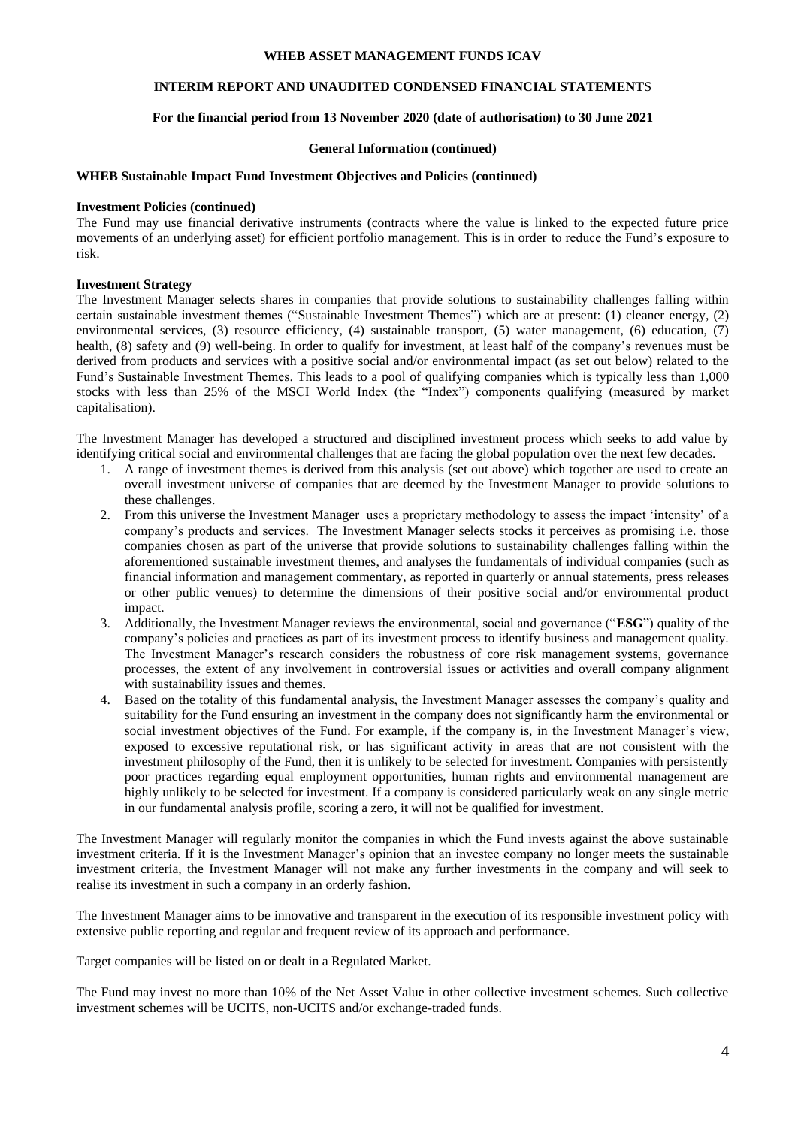# **INTERIM REPORT AND UNAUDITED CONDENSED FINANCIAL STATEMENT**S

## **For the financial period from 13 November 2020 (date of authorisation) to 30 June 2021**

#### **General Information (continued)**

#### **WHEB Sustainable Impact Fund Investment Objectives and Policies (continued)**

#### **Investment Policies (continued)**

The Fund may use financial derivative instruments (contracts where the value is linked to the expected future price movements of an underlying asset) for efficient portfolio management. This is in order to reduce the Fund's exposure to risk.

#### **Investment Strategy**

The Investment Manager selects shares in companies that provide solutions to sustainability challenges falling within certain sustainable investment themes ("Sustainable Investment Themes") which are at present: (1) cleaner energy, (2) environmental services, (3) resource efficiency, (4) sustainable transport, (5) water management, (6) education, (7) health, (8) safety and (9) well-being. In order to qualify for investment, at least half of the company's revenues must be derived from products and services with a positive social and/or environmental impact (as set out below) related to the Fund's Sustainable Investment Themes. This leads to a pool of qualifying companies which is typically less than 1,000 stocks with less than 25% of the MSCI World Index (the "Index") components qualifying (measured by market capitalisation).

The Investment Manager has developed a structured and disciplined investment process which seeks to add value by identifying critical social and environmental challenges that are facing the global population over the next few decades.

- 1. A range of investment themes is derived from this analysis (set out above) which together are used to create an overall investment universe of companies that are deemed by the Investment Manager to provide solutions to these challenges.
- 2. From this universe the Investment Manager uses a proprietary methodology to assess the impact 'intensity' of a company's products and services. The Investment Manager selects stocks it perceives as promising i.e. those companies chosen as part of the universe that provide solutions to sustainability challenges falling within the aforementioned sustainable investment themes, and analyses the fundamentals of individual companies (such as financial information and management commentary, as reported in quarterly or annual statements, press releases or other public venues) to determine the dimensions of their positive social and/or environmental product impact.
- 3. Additionally, the Investment Manager reviews the environmental, social and governance ("**ESG**") quality of the company's policies and practices as part of its investment process to identify business and management quality. The Investment Manager's research considers the robustness of core risk management systems, governance processes, the extent of any involvement in controversial issues or activities and overall company alignment with sustainability issues and themes.
- 4. Based on the totality of this fundamental analysis, the Investment Manager assesses the company's quality and suitability for the Fund ensuring an investment in the company does not significantly harm the environmental or social investment objectives of the Fund. For example, if the company is, in the Investment Manager's view, exposed to excessive reputational risk, or has significant activity in areas that are not consistent with the investment philosophy of the Fund, then it is unlikely to be selected for investment. Companies with persistently poor practices regarding equal employment opportunities, human rights and environmental management are highly unlikely to be selected for investment. If a company is considered particularly weak on any single metric in our fundamental analysis profile, scoring a zero, it will not be qualified for investment.

The Investment Manager will regularly monitor the companies in which the Fund invests against the above sustainable investment criteria. If it is the Investment Manager's opinion that an investee company no longer meets the sustainable investment criteria, the Investment Manager will not make any further investments in the company and will seek to realise its investment in such a company in an orderly fashion.

The Investment Manager aims to be innovative and transparent in the execution of its responsible investment policy with extensive public reporting and regular and frequent review of its approach and performance.

Target companies will be listed on or dealt in a Regulated Market.

The Fund may invest no more than 10% of the Net Asset Value in other collective investment schemes. Such collective investment schemes will be UCITS, non-UCITS and/or exchange-traded funds.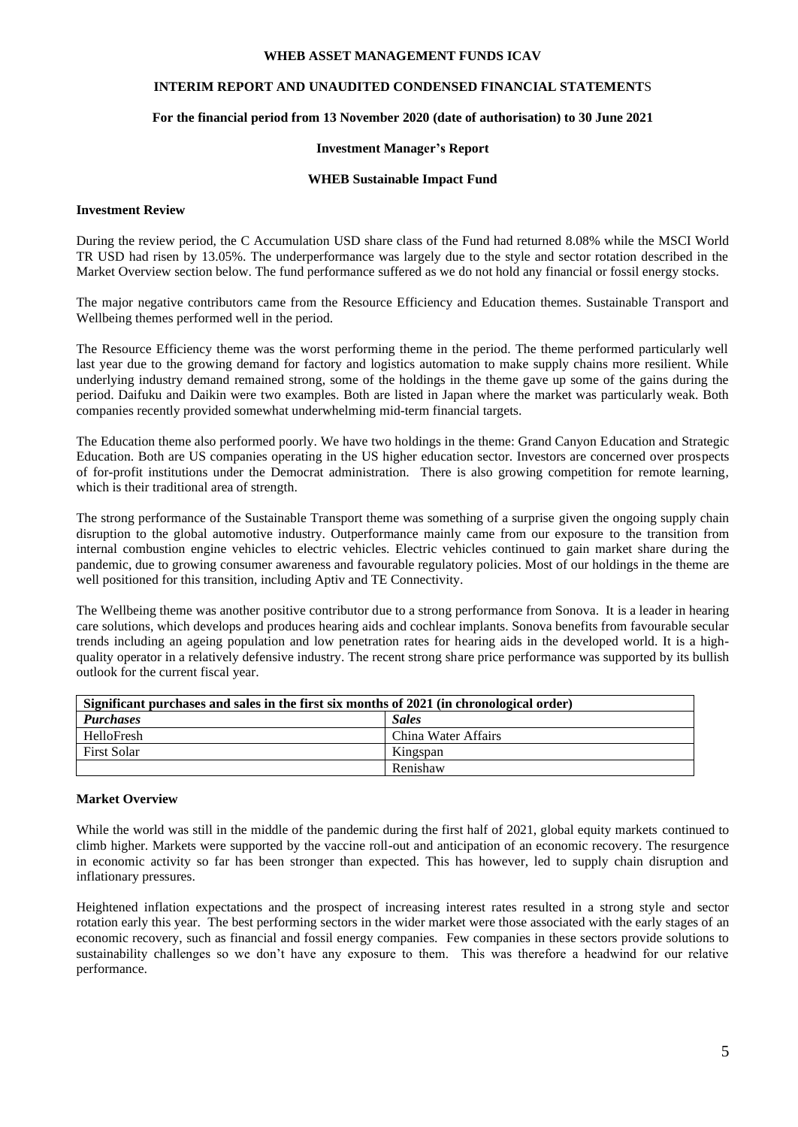# **INTERIM REPORT AND UNAUDITED CONDENSED FINANCIAL STATEMENT**S

# **For the financial period from 13 November 2020 (date of authorisation) to 30 June 2021**

#### **Investment Manager's Report**

#### **WHEB Sustainable Impact Fund**

#### **Investment Review**

During the review period, the C Accumulation USD share class of the Fund had returned 8.08% while the MSCI World TR USD had risen by 13.05%. The underperformance was largely due to the style and sector rotation described in the Market Overview section below. The fund performance suffered as we do not hold any financial or fossil energy stocks.

The major negative contributors came from the Resource Efficiency and Education themes. Sustainable Transport and Wellbeing themes performed well in the period.

The Resource Efficiency theme was the worst performing theme in the period. The theme performed particularly well last year due to the growing demand for factory and logistics automation to make supply chains more resilient. While underlying industry demand remained strong, some of the holdings in the theme gave up some of the gains during the period. Daifuku and Daikin were two examples. Both are listed in Japan where the market was particularly weak. Both companies recently provided somewhat underwhelming mid-term financial targets.

The Education theme also performed poorly. We have two holdings in the theme: Grand Canyon Education and Strategic Education. Both are US companies operating in the US higher education sector. Investors are concerned over prospects of for-profit institutions under the Democrat administration. There is also growing competition for remote learning, which is their traditional area of strength.

The strong performance of the Sustainable Transport theme was something of a surprise given the ongoing supply chain disruption to the global automotive industry. Outperformance mainly came from our exposure to the transition from internal combustion engine vehicles to electric vehicles. Electric vehicles continued to gain market share during the pandemic, due to growing consumer awareness and favourable regulatory policies. Most of our holdings in the theme are well positioned for this transition, including Aptiv and TE Connectivity.

The Wellbeing theme was another positive contributor due to a strong performance from Sonova. It is a leader in hearing care solutions, which develops and produces hearing aids and cochlear implants. Sonova benefits from favourable secular trends including an ageing population and low penetration rates for hearing aids in the developed world. It is a highquality operator in a relatively defensive industry. The recent strong share price performance was supported by its bullish outlook for the current fiscal year.

| Significant purchases and sales in the first six months of 2021 (in chronological order) |                     |  |
|------------------------------------------------------------------------------------------|---------------------|--|
| <b>Purchases</b>                                                                         | <b>Sales</b>        |  |
| HelloFresh                                                                               | China Water Affairs |  |
| <b>First Solar</b>                                                                       | Kingspan            |  |
|                                                                                          | Renishaw            |  |

#### **Market Overview**

While the world was still in the middle of the pandemic during the first half of 2021, global equity markets continued to climb higher. Markets were supported by the vaccine roll-out and anticipation of an economic recovery. The resurgence in economic activity so far has been stronger than expected. This has however, led to supply chain disruption and inflationary pressures.

Heightened inflation expectations and the prospect of increasing interest rates resulted in a strong style and sector rotation early this year. The best performing sectors in the wider market were those associated with the early stages of an economic recovery, such as financial and fossil energy companies. Few companies in these sectors provide solutions to sustainability challenges so we don't have any exposure to them. This was therefore a headwind for our relative performance.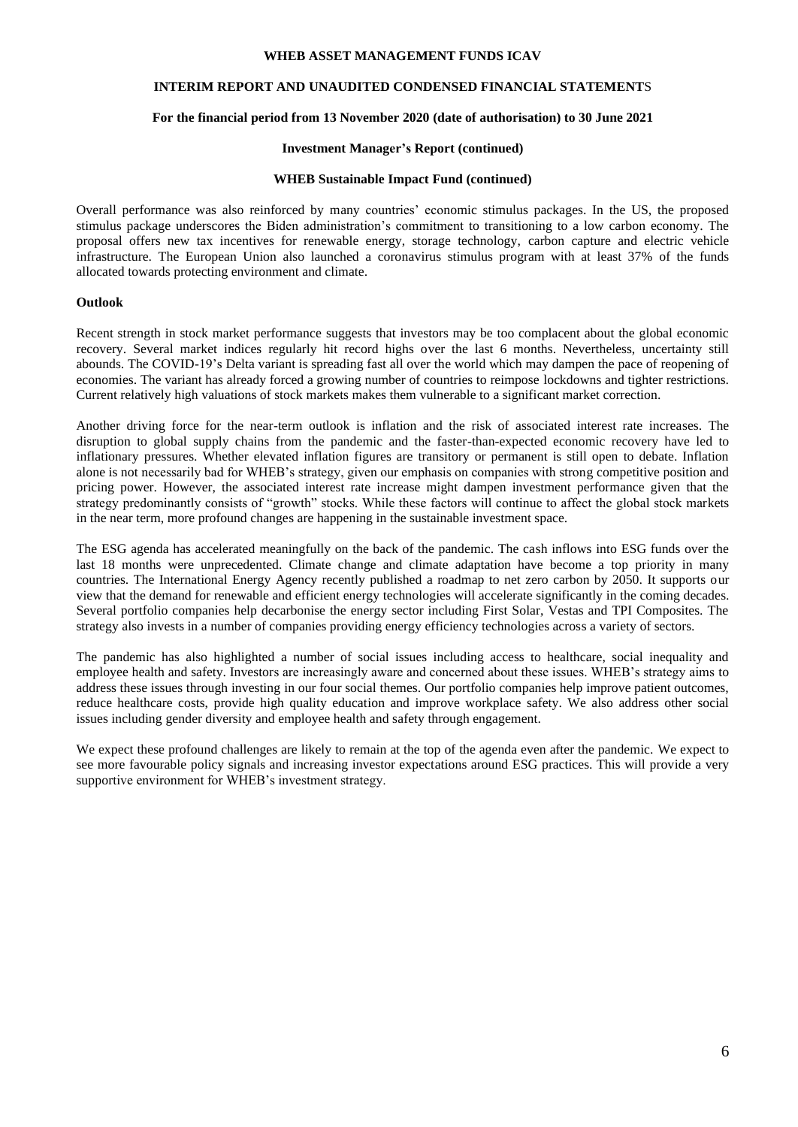## **INTERIM REPORT AND UNAUDITED CONDENSED FINANCIAL STATEMENT**S

## **For the financial period from 13 November 2020 (date of authorisation) to 30 June 2021**

#### **Investment Manager's Report (continued)**

#### **WHEB Sustainable Impact Fund (continued)**

Overall performance was also reinforced by many countries' economic stimulus packages. In the US, the proposed stimulus package underscores the Biden administration's commitment to transitioning to a low carbon economy. The proposal offers new tax incentives for renewable energy, storage technology, carbon capture and electric vehicle infrastructure. The European Union also launched a coronavirus stimulus program with at least 37% of the funds allocated towards protecting environment and climate.

## **Outlook**

Recent strength in stock market performance suggests that investors may be too complacent about the global economic recovery. Several market indices regularly hit record highs over the last 6 months. Nevertheless, uncertainty still abounds. The COVID-19's Delta variant is spreading fast all over the world which may dampen the pace of reopening of economies. The variant has already forced a growing number of countries to reimpose lockdowns and tighter restrictions. Current relatively high valuations of stock markets makes them vulnerable to a significant market correction.

Another driving force for the near-term outlook is inflation and the risk of associated interest rate increases. The disruption to global supply chains from the pandemic and the faster-than-expected economic recovery have led to inflationary pressures. Whether elevated inflation figures are transitory or permanent is still open to debate. Inflation alone is not necessarily bad for WHEB's strategy, given our emphasis on companies with strong competitive position and pricing power. However, the associated interest rate increase might dampen investment performance given that the strategy predominantly consists of "growth" stocks. While these factors will continue to affect the global stock markets in the near term, more profound changes are happening in the sustainable investment space.

The ESG agenda has accelerated meaningfully on the back of the pandemic. The cash inflows into ESG funds over the last 18 months were unprecedented. Climate change and climate adaptation have become a top priority in many countries. The International Energy Agency recently published a roadmap to net zero carbon by 2050. It supports our view that the demand for renewable and efficient energy technologies will accelerate significantly in the coming decades. Several portfolio companies help decarbonise the energy sector including First Solar, Vestas and TPI Composites. The strategy also invests in a number of companies providing energy efficiency technologies across a variety of sectors.

The pandemic has also highlighted a number of social issues including access to healthcare, social inequality and employee health and safety. Investors are increasingly aware and concerned about these issues. WHEB's strategy aims to address these issues through investing in our four social themes. Our portfolio companies help improve patient outcomes, reduce healthcare costs, provide high quality education and improve workplace safety. We also address other social issues including gender diversity and employee health and safety through engagement.

We expect these profound challenges are likely to remain at the top of the agenda even after the pandemic. We expect to see more favourable policy signals and increasing investor expectations around ESG practices. This will provide a very supportive environment for WHEB's investment strategy.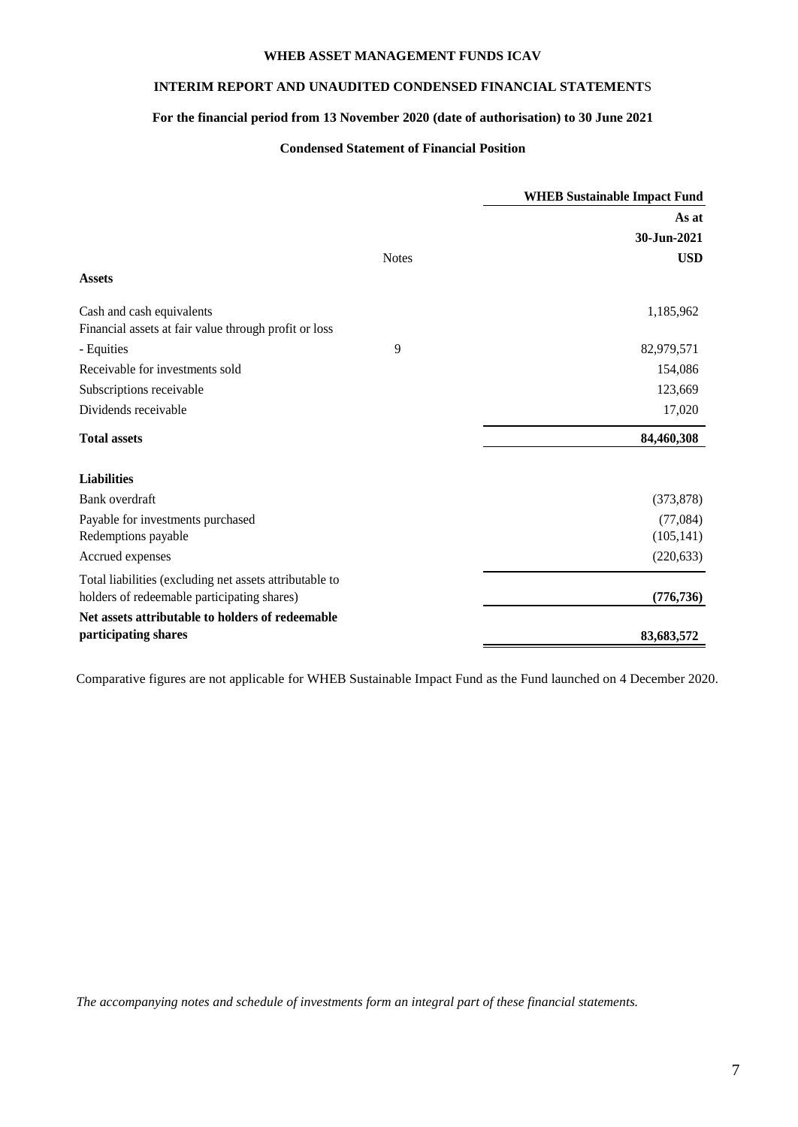# **INTERIM REPORT AND UNAUDITED CONDENSED FINANCIAL STATEMENT**S

# **For the financial period from 13 November 2020 (date of authorisation) to 30 June 2021**

# **Condensed Statement of Financial Position**

|                                                                                                        |              | <b>WHEB Sustainable Impact Fund</b> |
|--------------------------------------------------------------------------------------------------------|--------------|-------------------------------------|
|                                                                                                        |              | As at                               |
|                                                                                                        |              | 30-Jun-2021                         |
|                                                                                                        | <b>Notes</b> | <b>USD</b>                          |
| <b>Assets</b>                                                                                          |              |                                     |
| Cash and cash equivalents<br>Financial assets at fair value through profit or loss                     |              | 1,185,962                           |
| - Equities                                                                                             | 9            | 82,979,571                          |
| Receivable for investments sold                                                                        |              | 154,086                             |
| Subscriptions receivable                                                                               |              | 123,669                             |
| Dividends receivable                                                                                   |              | 17,020                              |
| <b>Total assets</b>                                                                                    |              | 84,460,308                          |
| <b>Liabilities</b>                                                                                     |              |                                     |
| Bank overdraft                                                                                         |              | (373, 878)                          |
| Payable for investments purchased                                                                      |              | (77,084)                            |
| Redemptions payable                                                                                    |              | (105, 141)                          |
| Accrued expenses                                                                                       |              | (220, 633)                          |
| Total liabilities (excluding net assets attributable to<br>holders of redeemable participating shares) |              | (776, 736)                          |
| Net assets attributable to holders of redeemable<br>participating shares                               |              | 83,683,572                          |

Comparative figures are not applicable for WHEB Sustainable Impact Fund as the Fund launched on 4 December 2020.

*The accompanying notes and schedule of investments form an integral part of these financial statements.*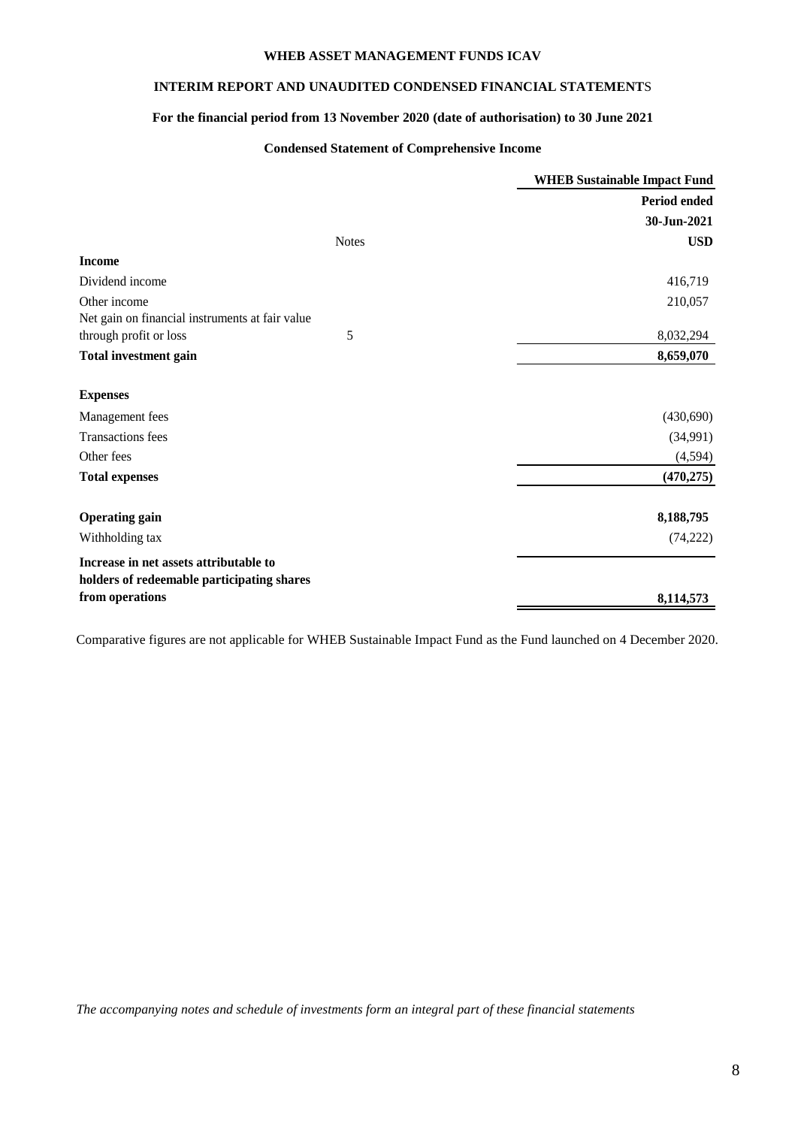# **INTERIM REPORT AND UNAUDITED CONDENSED FINANCIAL STATEMENT**S

# **For the financial period from 13 November 2020 (date of authorisation) to 30 June 2021**

# **Condensed Statement of Comprehensive Income**

|                                                                                                         | <b>WHEB Sustainable Impact Fund</b> |
|---------------------------------------------------------------------------------------------------------|-------------------------------------|
|                                                                                                         | Period ended                        |
|                                                                                                         | 30-Jun-2021                         |
| <b>Notes</b>                                                                                            | <b>USD</b>                          |
| <b>Income</b>                                                                                           |                                     |
| Dividend income                                                                                         | 416,719                             |
| Other income<br>Net gain on financial instruments at fair value                                         | 210,057                             |
| 5<br>through profit or loss                                                                             | 8,032,294                           |
| <b>Total investment gain</b>                                                                            | 8,659,070                           |
| <b>Expenses</b>                                                                                         |                                     |
| Management fees                                                                                         | (430,690)                           |
| <b>Transactions</b> fees                                                                                | (34,991)                            |
| Other fees                                                                                              | (4,594)                             |
| <b>Total expenses</b>                                                                                   | (470, 275)                          |
| <b>Operating gain</b>                                                                                   | 8,188,795                           |
| Withholding tax                                                                                         | (74, 222)                           |
| Increase in net assets attributable to<br>holders of redeemable participating shares<br>from operations | 8,114,573                           |

Comparative figures are not applicable for WHEB Sustainable Impact Fund as the Fund launched on 4 December 2020.

*The accompanying notes and schedule of investments form an integral part of these financial statements*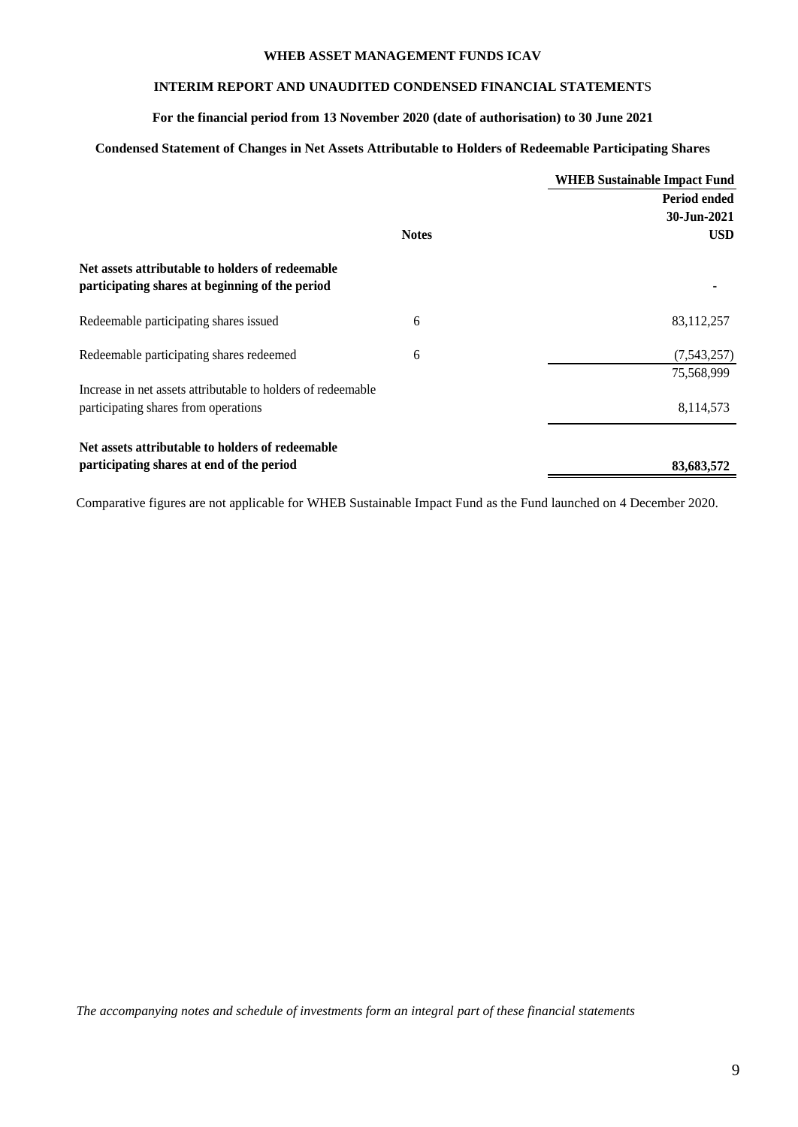# **INTERIM REPORT AND UNAUDITED CONDENSED FINANCIAL STATEMENT**S

# **For the financial period from 13 November 2020 (date of authorisation) to 30 June 2021**

# **Condensed Statement of Changes in Net Assets Attributable to Holders of Redeemable Participating Shares**

|                                                                                                     |              | <b>WHEB Sustainable Impact Fund</b> |
|-----------------------------------------------------------------------------------------------------|--------------|-------------------------------------|
|                                                                                                     |              | Period ended                        |
|                                                                                                     |              | 30-Jun-2021                         |
|                                                                                                     | <b>Notes</b> | <b>USD</b>                          |
| Net assets attributable to holders of redeemable<br>participating shares at beginning of the period |              |                                     |
| Redeemable participating shares issued                                                              | 6            | 83,112,257                          |
| Redeemable participating shares redeemed                                                            | 6            | (7,543,257)                         |
|                                                                                                     |              | 75,568,999                          |
| Increase in net assets attributable to holders of redeemable                                        |              |                                     |
| participating shares from operations                                                                |              | 8,114,573                           |
| Net assets attributable to holders of redeemable                                                    |              |                                     |
| participating shares at end of the period                                                           |              | 83,683,572                          |

Comparative figures are not applicable for WHEB Sustainable Impact Fund as the Fund launched on 4 December 2020.

*The accompanying notes and schedule of investments form an integral part of these financial statements*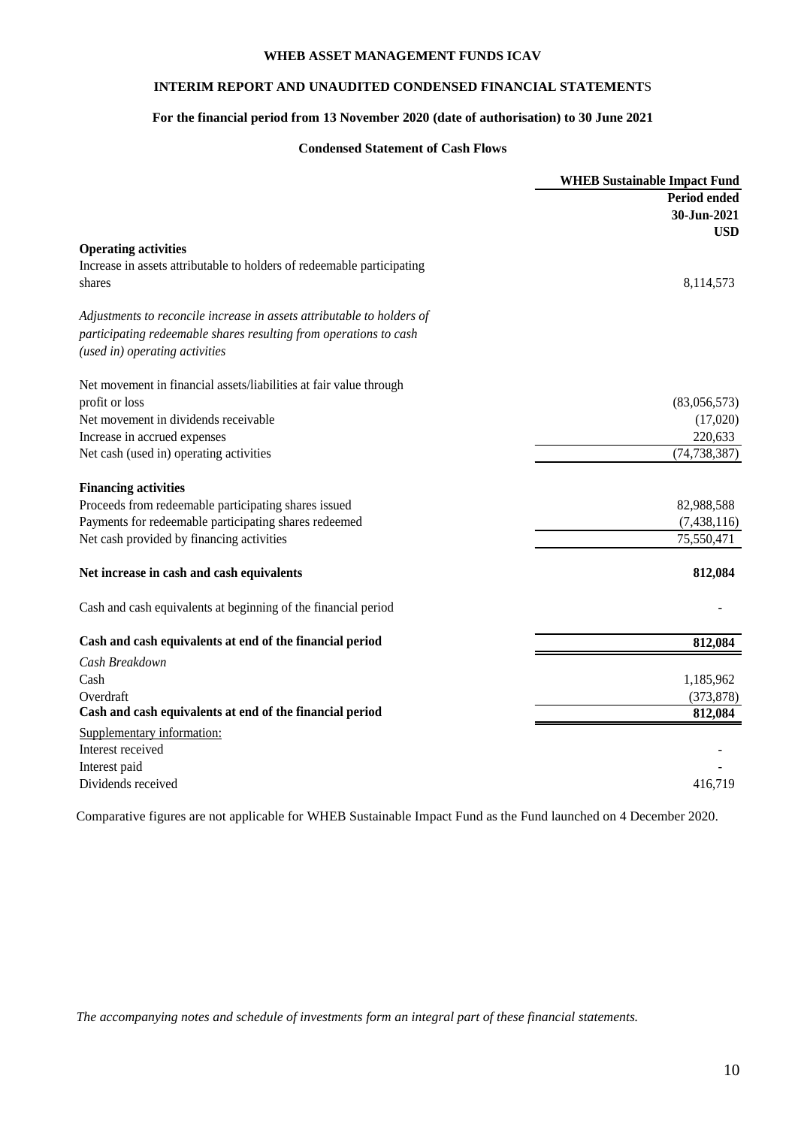# **INTERIM REPORT AND UNAUDITED CONDENSED FINANCIAL STATEMENT**S

# **For the financial period from 13 November 2020 (date of authorisation) to 30 June 2021**

# **Condensed Statement of Cash Flows**

|                                                                        | <b>WHEB Sustainable Impact Fund</b> |
|------------------------------------------------------------------------|-------------------------------------|
|                                                                        | Period ended                        |
|                                                                        | 30-Jun-2021                         |
|                                                                        | <b>USD</b>                          |
| <b>Operating activities</b>                                            |                                     |
| Increase in assets attributable to holders of redeemable participating |                                     |
| shares                                                                 | 8,114,573                           |
| Adjustments to reconcile increase in assets attributable to holders of |                                     |
| participating redeemable shares resulting from operations to cash      |                                     |
| (used in) operating activities                                         |                                     |
| Net movement in financial assets/liabilities at fair value through     |                                     |
| profit or loss                                                         | (83,056,573)                        |
| Net movement in dividends receivable                                   | (17,020)                            |
| Increase in accrued expenses                                           | 220,633                             |
| Net cash (used in) operating activities                                | (74, 738, 387)                      |
| <b>Financing activities</b>                                            |                                     |
| Proceeds from redeemable participating shares issued                   | 82,988,588                          |
| Payments for redeemable participating shares redeemed                  | (7, 438, 116)                       |
| Net cash provided by financing activities                              | 75,550,471                          |
| Net increase in cash and cash equivalents                              | 812,084                             |
| Cash and cash equivalents at beginning of the financial period         |                                     |
| Cash and cash equivalents at end of the financial period               | 812,084                             |
| Cash Breakdown                                                         |                                     |
| Cash                                                                   | 1,185,962                           |
| Overdraft                                                              | (373, 878)                          |
| Cash and cash equivalents at end of the financial period               | 812,084                             |
| Supplementary information:                                             |                                     |
| Interest received                                                      |                                     |
| Interest paid                                                          |                                     |
| Dividends received                                                     | 416.719                             |

Comparative figures are not applicable for WHEB Sustainable Impact Fund as the Fund launched on 4 December 2020.

*The accompanying notes and schedule of investments form an integral part of these financial statements.*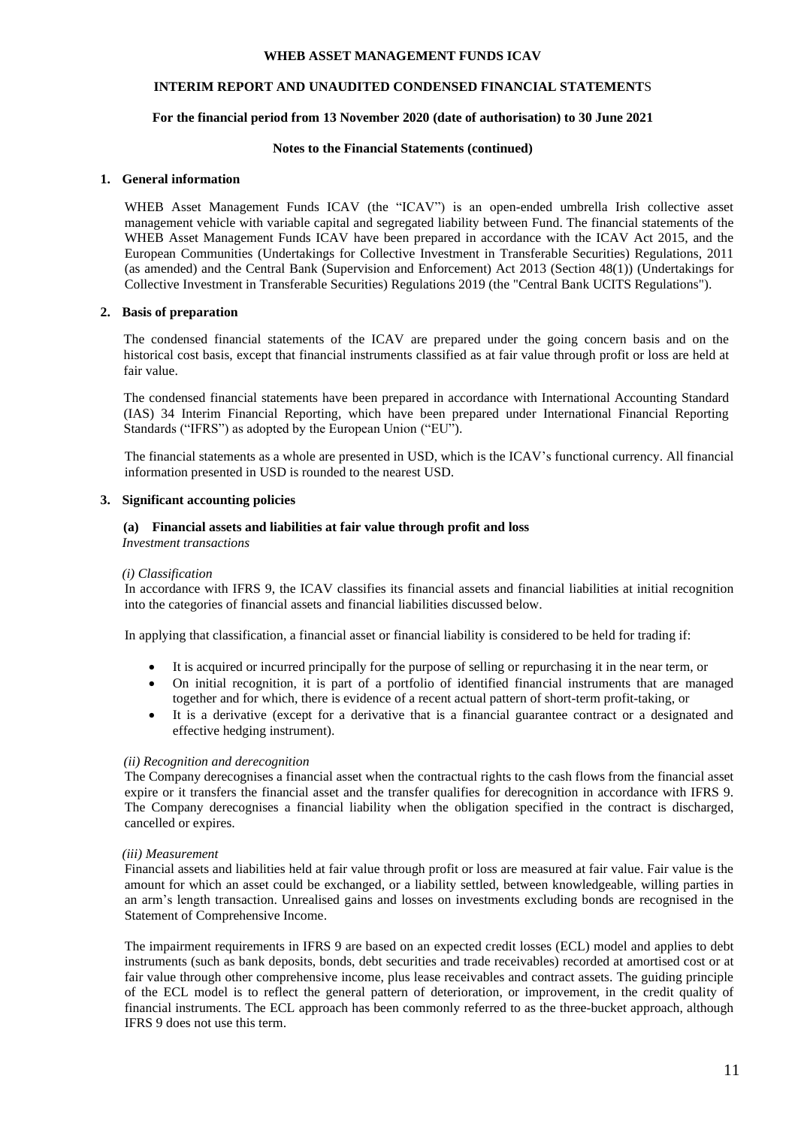# **INTERIM REPORT AND UNAUDITED CONDENSED FINANCIAL STATEMENT**S

## **For the financial period from 13 November 2020 (date of authorisation) to 30 June 2021**

#### **Notes to the Financial Statements (continued)**

#### **1. General information**

WHEB Asset Management Funds ICAV (the "ICAV") is an open-ended umbrella Irish collective asset management vehicle with variable capital and segregated liability between Fund. The financial statements of the WHEB Asset Management Funds ICAV have been prepared in accordance with the ICAV Act 2015, and the European Communities (Undertakings for Collective Investment in Transferable Securities) Regulations, 2011 (as amended) and the Central Bank (Supervision and Enforcement) Act 2013 (Section 48(1)) (Undertakings for Collective Investment in Transferable Securities) Regulations 2019 (the "Central Bank UCITS Regulations").

#### **2. Basis of preparation**

The condensed financial statements of the ICAV are prepared under the going concern basis and on the historical cost basis, except that financial instruments classified as at fair value through profit or loss are held at fair value.

The condensed financial statements have been prepared in accordance with International Accounting Standard (IAS) 34 Interim Financial Reporting, which have been prepared under International Financial Reporting Standards ("IFRS") as adopted by the European Union ("EU").

The financial statements as a whole are presented in USD, which is the ICAV's functional currency. All financial information presented in USD is rounded to the nearest USD.

#### **3. Significant accounting policies**

# **(a) Financial assets and liabilities at fair value through profit and loss**

*Investment transactions*

#### *(i) Classification*

In accordance with IFRS 9, the ICAV classifies its financial assets and financial liabilities at initial recognition into the categories of financial assets and financial liabilities discussed below.

In applying that classification, a financial asset or financial liability is considered to be held for trading if:

- It is acquired or incurred principally for the purpose of selling or repurchasing it in the near term, or
- On initial recognition, it is part of a portfolio of identified financial instruments that are managed together and for which, there is evidence of a recent actual pattern of short-term profit-taking, or
- It is a derivative (except for a derivative that is a financial guarantee contract or a designated and effective hedging instrument).

#### *(ii) Recognition and derecognition*

The Company derecognises a financial asset when the contractual rights to the cash flows from the financial asset expire or it transfers the financial asset and the transfer qualifies for derecognition in accordance with IFRS 9. The Company derecognises a financial liability when the obligation specified in the contract is discharged, cancelled or expires.

#### *(iii) Measurement*

Financial assets and liabilities held at fair value through profit or loss are measured at fair value. Fair value is the amount for which an asset could be exchanged, or a liability settled, between knowledgeable, willing parties in an arm's length transaction. Unrealised gains and losses on investments excluding bonds are recognised in the Statement of Comprehensive Income.

The impairment requirements in IFRS 9 are based on an expected credit losses (ECL) model and applies to debt instruments (such as bank deposits, bonds, debt securities and trade receivables) recorded at amortised cost or at fair value through other comprehensive income, plus lease receivables and contract assets. The guiding principle of the ECL model is to reflect the general pattern of deterioration, or improvement, in the credit quality of financial instruments. The ECL approach has been commonly referred to as the three-bucket approach, although IFRS 9 does not use this term.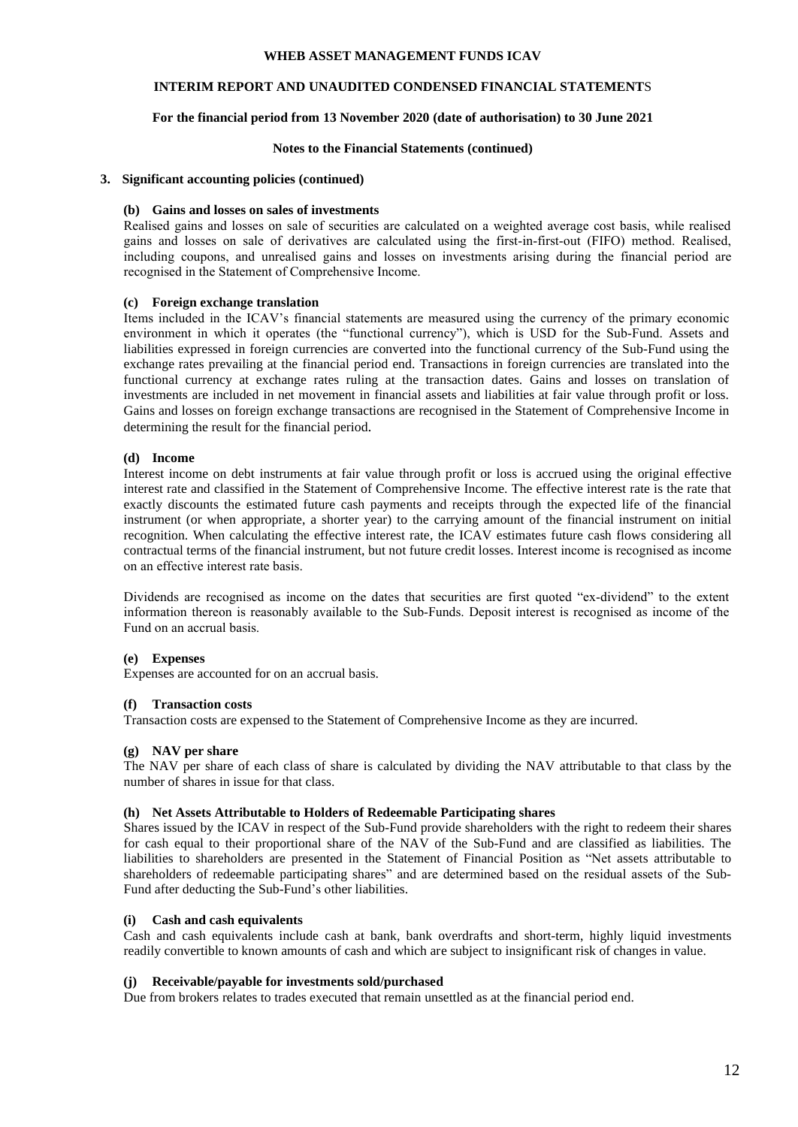# **INTERIM REPORT AND UNAUDITED CONDENSED FINANCIAL STATEMENT**S

# **For the financial period from 13 November 2020 (date of authorisation) to 30 June 2021**

#### **Notes to the Financial Statements (continued)**

### **3. Significant accounting policies (continued)**

#### **(b) Gains and losses on sales of investments**

Realised gains and losses on sale of securities are calculated on a weighted average cost basis, while realised gains and losses on sale of derivatives are calculated using the first-in-first-out (FIFO) method. Realised, including coupons, and unrealised gains and losses on investments arising during the financial period are recognised in the Statement of Comprehensive Income.

## **(c) Foreign exchange translation**

Items included in the ICAV's financial statements are measured using the currency of the primary economic environment in which it operates (the "functional currency"), which is USD for the Sub-Fund. Assets and liabilities expressed in foreign currencies are converted into the functional currency of the Sub-Fund using the exchange rates prevailing at the financial period end. Transactions in foreign currencies are translated into the functional currency at exchange rates ruling at the transaction dates. Gains and losses on translation of investments are included in net movement in financial assets and liabilities at fair value through profit or loss. Gains and losses on foreign exchange transactions are recognised in the Statement of Comprehensive Income in determining the result for the financial period.

## **(d) Income**

Interest income on debt instruments at fair value through profit or loss is accrued using the original effective interest rate and classified in the Statement of Comprehensive Income. The effective interest rate is the rate that exactly discounts the estimated future cash payments and receipts through the expected life of the financial instrument (or when appropriate, a shorter year) to the carrying amount of the financial instrument on initial recognition. When calculating the effective interest rate, the ICAV estimates future cash flows considering all contractual terms of the financial instrument, but not future credit losses. Interest income is recognised as income on an effective interest rate basis.

Dividends are recognised as income on the dates that securities are first quoted "ex-dividend" to the extent information thereon is reasonably available to the Sub-Funds. Deposit interest is recognised as income of the Fund on an accrual basis.

#### **(e) Expenses**

Expenses are accounted for on an accrual basis.

#### **(f) Transaction costs**

Transaction costs are expensed to the Statement of Comprehensive Income as they are incurred.

#### **(g) NAV per share**

The NAV per share of each class of share is calculated by dividing the NAV attributable to that class by the number of shares in issue for that class.

### **(h) Net Assets Attributable to Holders of Redeemable Participating shares**

Shares issued by the ICAV in respect of the Sub-Fund provide shareholders with the right to redeem their shares for cash equal to their proportional share of the NAV of the Sub-Fund and are classified as liabilities. The liabilities to shareholders are presented in the Statement of Financial Position as "Net assets attributable to shareholders of redeemable participating shares" and are determined based on the residual assets of the Sub-Fund after deducting the Sub-Fund's other liabilities.

# **(i) Cash and cash equivalents**

Cash and cash equivalents include cash at bank, bank overdrafts and short-term, highly liquid investments readily convertible to known amounts of cash and which are subject to insignificant risk of changes in value.

#### **(j) Receivable/payable for investments sold/purchased**

Due from brokers relates to trades executed that remain unsettled as at the financial period end.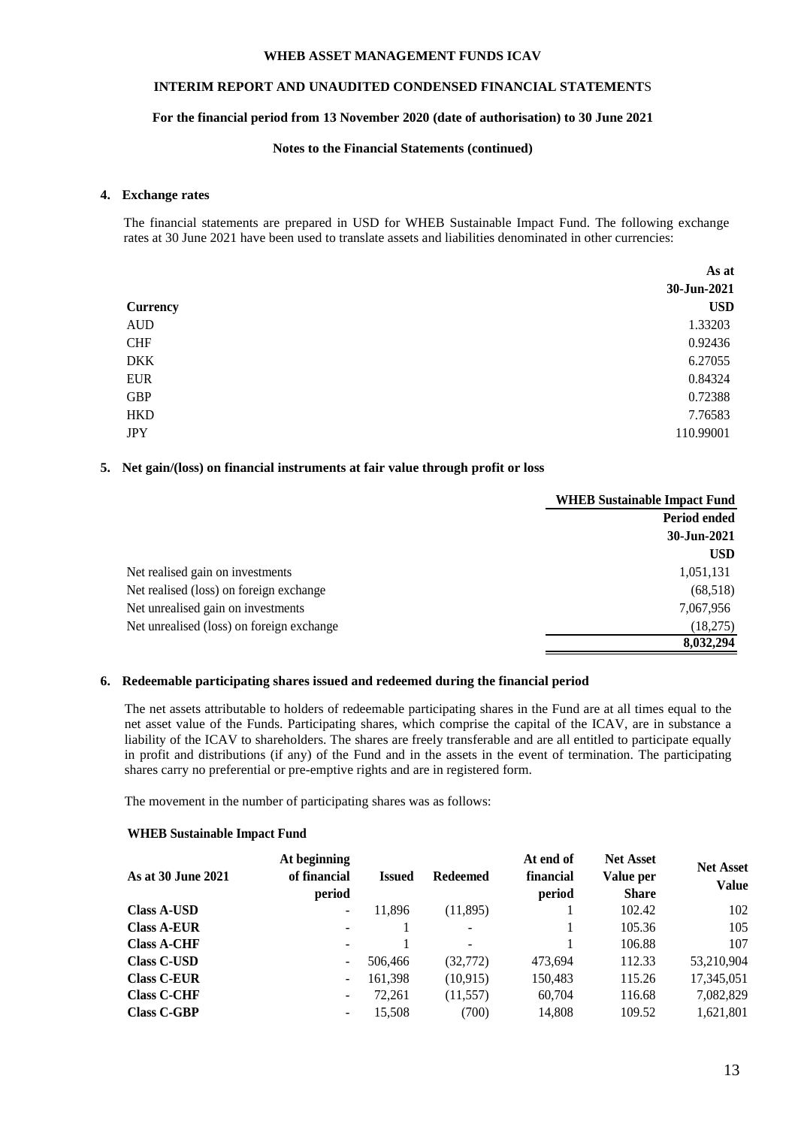# **INTERIM REPORT AND UNAUDITED CONDENSED FINANCIAL STATEMENT**S

## **For the financial period from 13 November 2020 (date of authorisation) to 30 June 2021**

### **Notes to the Financial Statements (continued)**

### **4. Exchange rates**

The financial statements are prepared in USD for WHEB Sustainable Impact Fund. The following exchange rates at 30 June 2021 have been used to translate assets and liabilities denominated in other currencies:

|                 | As at       |
|-----------------|-------------|
|                 | 30-Jun-2021 |
| <b>Currency</b> | <b>USD</b>  |
| <b>AUD</b>      | 1.33203     |
| <b>CHF</b>      | 0.92436     |
| <b>DKK</b>      | 6.27055     |
| <b>EUR</b>      | 0.84324     |
| <b>GBP</b>      | 0.72388     |
| <b>HKD</b>      | 7.76583     |
| <b>JPY</b>      | 110.99001   |

# **5. Net gain/(loss) on financial instruments at fair value through profit or loss**

|                                           | <b>WHEB Sustainable Impact Fund</b> |
|-------------------------------------------|-------------------------------------|
|                                           | Period ended                        |
|                                           | 30-Jun-2021                         |
|                                           | <b>USD</b>                          |
| Net realised gain on investments          | 1,051,131                           |
| Net realised (loss) on foreign exchange   | (68,518)                            |
| Net unrealised gain on investments        | 7,067,956                           |
| Net unrealised (loss) on foreign exchange | (18,275)                            |
|                                           | 8,032,294                           |

# **6. Redeemable participating shares issued and redeemed during the financial period**

The net assets attributable to holders of redeemable participating shares in the Fund are at all times equal to the net asset value of the Funds. Participating shares, which comprise the capital of the ICAV, are in substance a liability of the ICAV to shareholders. The shares are freely transferable and are all entitled to participate equally in profit and distributions (if any) of the Fund and in the assets in the event of termination. The participating shares carry no preferential or pre-emptive rights and are in registered form.

The movement in the number of participating shares was as follows:

#### **WHEB Sustainable Impact Fund**

|                    | At beginning                 |         |                          | At end of | <b>Net Asset</b> | <b>Net Asset</b> |
|--------------------|------------------------------|---------|--------------------------|-----------|------------------|------------------|
| As at 30 June 2021 | of financial                 | Issued  | <b>Redeemed</b>          | financial | Value per        | <b>Value</b>     |
|                    | period                       |         |                          | period    | <b>Share</b>     |                  |
| <b>Class A-USD</b> | $\qquad \qquad \blacksquare$ | 11.896  | (11,895)                 |           | 102.42           | 102              |
| <b>Class A-EUR</b> | $\qquad \qquad \blacksquare$ |         | ۰                        |           | 105.36           | 105              |
| <b>Class A-CHF</b> | $\overline{\phantom{a}}$     |         | $\overline{\phantom{a}}$ |           | 106.88           | 107              |
| <b>Class C-USD</b> | ۰                            | 506,466 | (32, 772)                | 473,694   | 112.33           | 53,210,904       |
| <b>Class C-EUR</b> | $\overline{\phantom{a}}$     | 161,398 | (10,915)                 | 150,483   | 115.26           | 17,345,051       |
| <b>Class C-CHF</b> | ۰                            | 72.261  | (11, 557)                | 60,704    | 116.68           | 7,082,829        |
| <b>Class C-GBP</b> | $\overline{\phantom{a}}$     | 15,508  | (700)                    | 14,808    | 109.52           | 1,621,801        |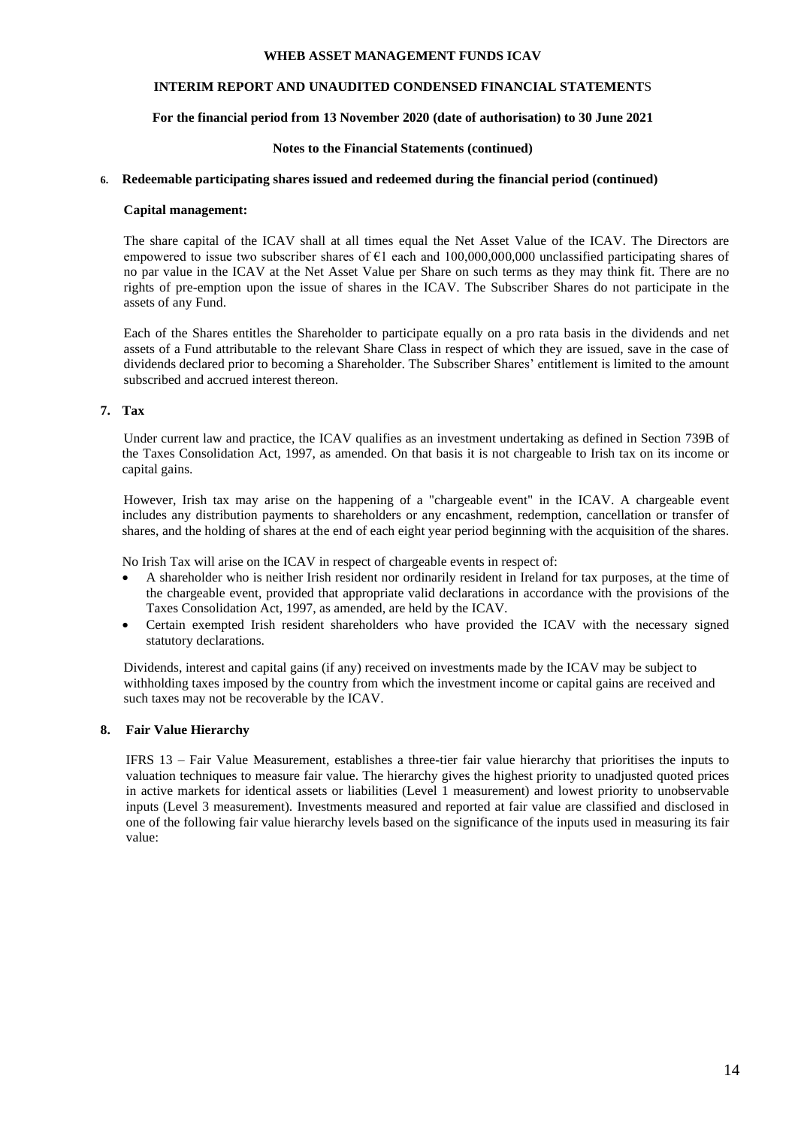# **INTERIM REPORT AND UNAUDITED CONDENSED FINANCIAL STATEMENT**S

## **For the financial period from 13 November 2020 (date of authorisation) to 30 June 2021**

#### **Notes to the Financial Statements (continued)**

#### **6. Redeemable participating shares issued and redeemed during the financial period (continued)**

#### **Capital management:**

The share capital of the ICAV shall at all times equal the Net Asset Value of the ICAV. The Directors are empowered to issue two subscriber shares of €1 each and 100,000,000,000 unclassified participating shares of no par value in the ICAV at the Net Asset Value per Share on such terms as they may think fit. There are no rights of pre-emption upon the issue of shares in the ICAV. The Subscriber Shares do not participate in the assets of any Fund.

Each of the Shares entitles the Shareholder to participate equally on a pro rata basis in the dividends and net assets of a Fund attributable to the relevant Share Class in respect of which they are issued, save in the case of dividends declared prior to becoming a Shareholder. The Subscriber Shares' entitlement is limited to the amount subscribed and accrued interest thereon.

#### **7. Tax**

Under current law and practice, the ICAV qualifies as an investment undertaking as defined in Section 739B of the Taxes Consolidation Act, 1997, as amended. On that basis it is not chargeable to Irish tax on its income or capital gains.

However, Irish tax may arise on the happening of a "chargeable event" in the ICAV. A chargeable event includes any distribution payments to shareholders or any encashment, redemption, cancellation or transfer of shares, and the holding of shares at the end of each eight year period beginning with the acquisition of the shares.

No Irish Tax will arise on the ICAV in respect of chargeable events in respect of:

- A shareholder who is neither Irish resident nor ordinarily resident in Ireland for tax purposes, at the time of the chargeable event, provided that appropriate valid declarations in accordance with the provisions of the Taxes Consolidation Act, 1997, as amended, are held by the ICAV.
- Certain exempted Irish resident shareholders who have provided the ICAV with the necessary signed statutory declarations.

Dividends, interest and capital gains (if any) received on investments made by the ICAV may be subject to withholding taxes imposed by the country from which the investment income or capital gains are received and such taxes may not be recoverable by the ICAV.

## **8. Fair Value Hierarchy**

IFRS 13 – Fair Value Measurement, establishes a three-tier fair value hierarchy that prioritises the inputs to valuation techniques to measure fair value. The hierarchy gives the highest priority to unadjusted quoted prices in active markets for identical assets or liabilities (Level 1 measurement) and lowest priority to unobservable inputs (Level 3 measurement). Investments measured and reported at fair value are classified and disclosed in one of the following fair value hierarchy levels based on the significance of the inputs used in measuring its fair value: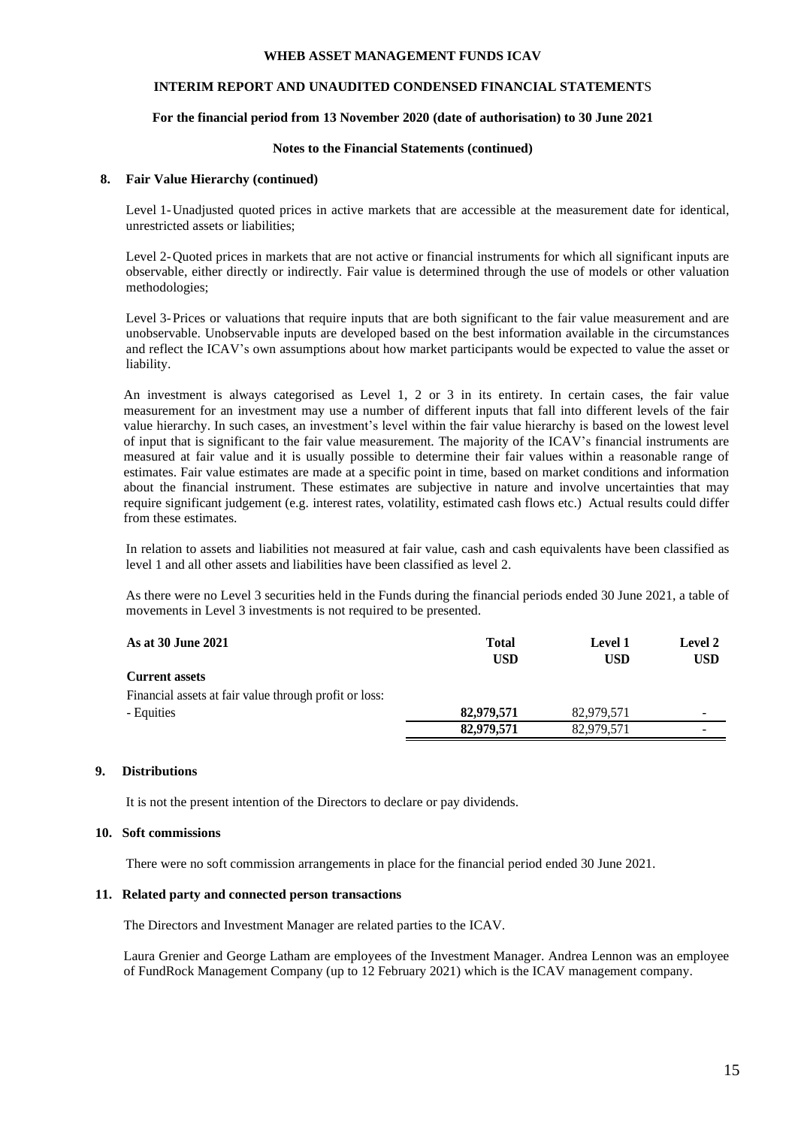## **INTERIM REPORT AND UNAUDITED CONDENSED FINANCIAL STATEMENT**S

### **For the financial period from 13 November 2020 (date of authorisation) to 30 June 2021**

#### **Notes to the Financial Statements (continued)**

#### **8. Fair Value Hierarchy (continued)**

Level 1-Unadjusted quoted prices in active markets that are accessible at the measurement date for identical, unrestricted assets or liabilities;

Level 2-Quoted prices in markets that are not active or financial instruments for which all significant inputs are observable, either directly or indirectly. Fair value is determined through the use of models or other valuation methodologies;

Level 3-Prices or valuations that require inputs that are both significant to the fair value measurement and are unobservable. Unobservable inputs are developed based on the best information available in the circumstances and reflect the ICAV's own assumptions about how market participants would be expected to value the asset or liability.

An investment is always categorised as Level 1, 2 or 3 in its entirety. In certain cases, the fair value measurement for an investment may use a number of different inputs that fall into different levels of the fair value hierarchy. In such cases, an investment's level within the fair value hierarchy is based on the lowest level of input that is significant to the fair value measurement. The majority of the ICAV's financial instruments are measured at fair value and it is usually possible to determine their fair values within a reasonable range of estimates. Fair value estimates are made at a specific point in time, based on market conditions and information about the financial instrument. These estimates are subjective in nature and involve uncertainties that may require significant judgement (e.g. interest rates, volatility, estimated cash flows etc.) Actual results could differ from these estimates.

In relation to assets and liabilities not measured at fair value, cash and cash equivalents have been classified as level 1 and all other assets and liabilities have been classified as level 2.

As there were no Level 3 securities held in the Funds during the financial periods ended 30 June 2021, a table of movements in Level 3 investments is not required to be presented.

| As at 30 June 2021                                     | <b>Total</b> | <b>Level 1</b> | <b>Level 2</b>           |
|--------------------------------------------------------|--------------|----------------|--------------------------|
|                                                        | <b>USD</b>   | <b>USD</b>     | <b>USD</b>               |
| <b>Current assets</b>                                  |              |                |                          |
| Financial assets at fair value through profit or loss: |              |                |                          |
| - Equities                                             | 82,979,571   | 82,979,571     | $\overline{\phantom{0}}$ |
|                                                        | 82,979,571   | 82,979,571     | $\overline{\phantom{0}}$ |

#### **9. Distributions**

It is not the present intention of the Directors to declare or pay dividends.

#### **10. Soft commissions**

There were no soft commission arrangements in place for the financial period ended 30 June 2021.

#### **11. Related party and connected person transactions**

The Directors and Investment Manager are related parties to the ICAV.

Laura Grenier and George Latham are employees of the Investment Manager. Andrea Lennon was an employee of FundRock Management Company (up to 12 February 2021) which is the ICAV management company.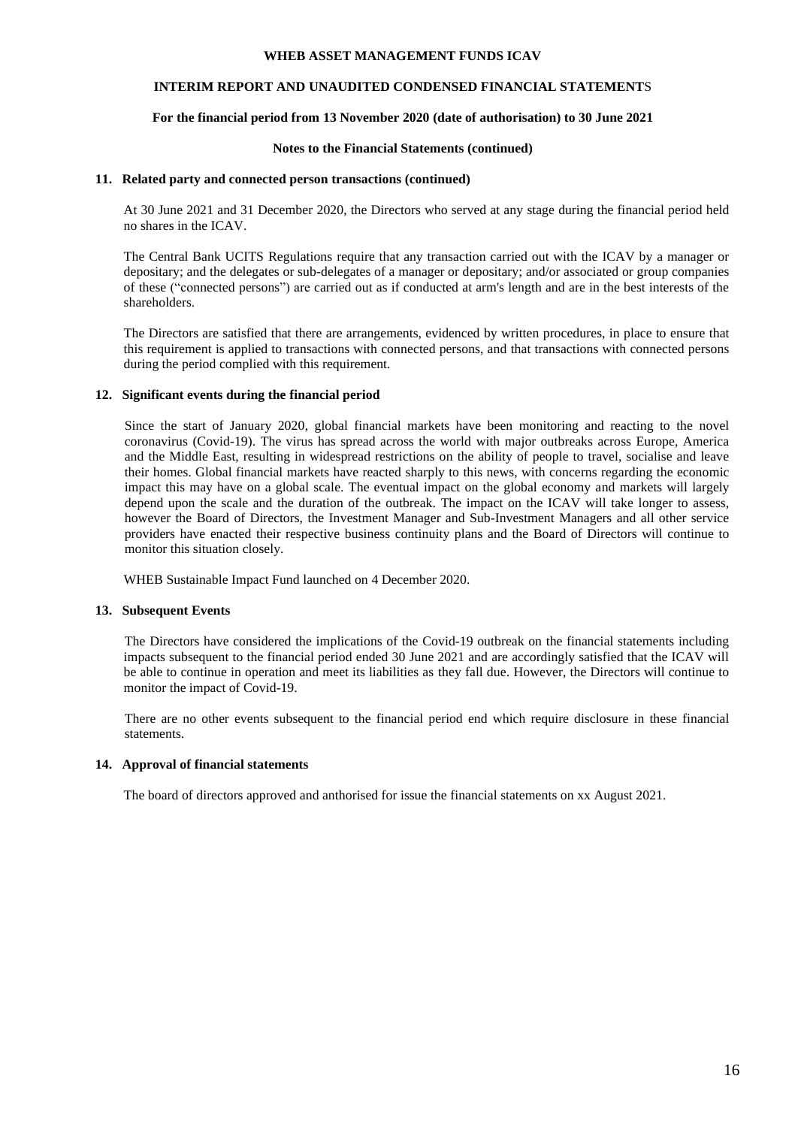## **INTERIM REPORT AND UNAUDITED CONDENSED FINANCIAL STATEMENT**S

## **For the financial period from 13 November 2020 (date of authorisation) to 30 June 2021**

#### **Notes to the Financial Statements (continued)**

#### **11. Related party and connected person transactions (continued)**

At 30 June 2021 and 31 December 2020, the Directors who served at any stage during the financial period held no shares in the ICAV.

The Central Bank UCITS Regulations require that any transaction carried out with the ICAV by a manager or depositary; and the delegates or sub-delegates of a manager or depositary; and/or associated or group companies of these ("connected persons") are carried out as if conducted at arm's length and are in the best interests of the shareholders.

The Directors are satisfied that there are arrangements, evidenced by written procedures, in place to ensure that this requirement is applied to transactions with connected persons, and that transactions with connected persons during the period complied with this requirement.

## **12. Significant events during the financial period**

Since the start of January 2020, global financial markets have been monitoring and reacting to the novel coronavirus (Covid-19). The virus has spread across the world with major outbreaks across Europe, America and the Middle East, resulting in widespread restrictions on the ability of people to travel, socialise and leave their homes. Global financial markets have reacted sharply to this news, with concerns regarding the economic impact this may have on a global scale. The eventual impact on the global economy and markets will largely depend upon the scale and the duration of the outbreak. The impact on the ICAV will take longer to assess, however the Board of Directors, the Investment Manager and Sub-Investment Managers and all other service providers have enacted their respective business continuity plans and the Board of Directors will continue to monitor this situation closely.

WHEB Sustainable Impact Fund launched on 4 December 2020.

#### **13. Subsequent Events**

The Directors have considered the implications of the Covid-19 outbreak on the financial statements including impacts subsequent to the financial period ended 30 June 2021 and are accordingly satisfied that the ICAV will be able to continue in operation and meet its liabilities as they fall due. However, the Directors will continue to monitor the impact of Covid-19.

There are no other events subsequent to the financial period end which require disclosure in these financial statements.

#### **14. Approval of financial statements**

The board of directors approved and anthorised for issue the financial statements on xx August 2021.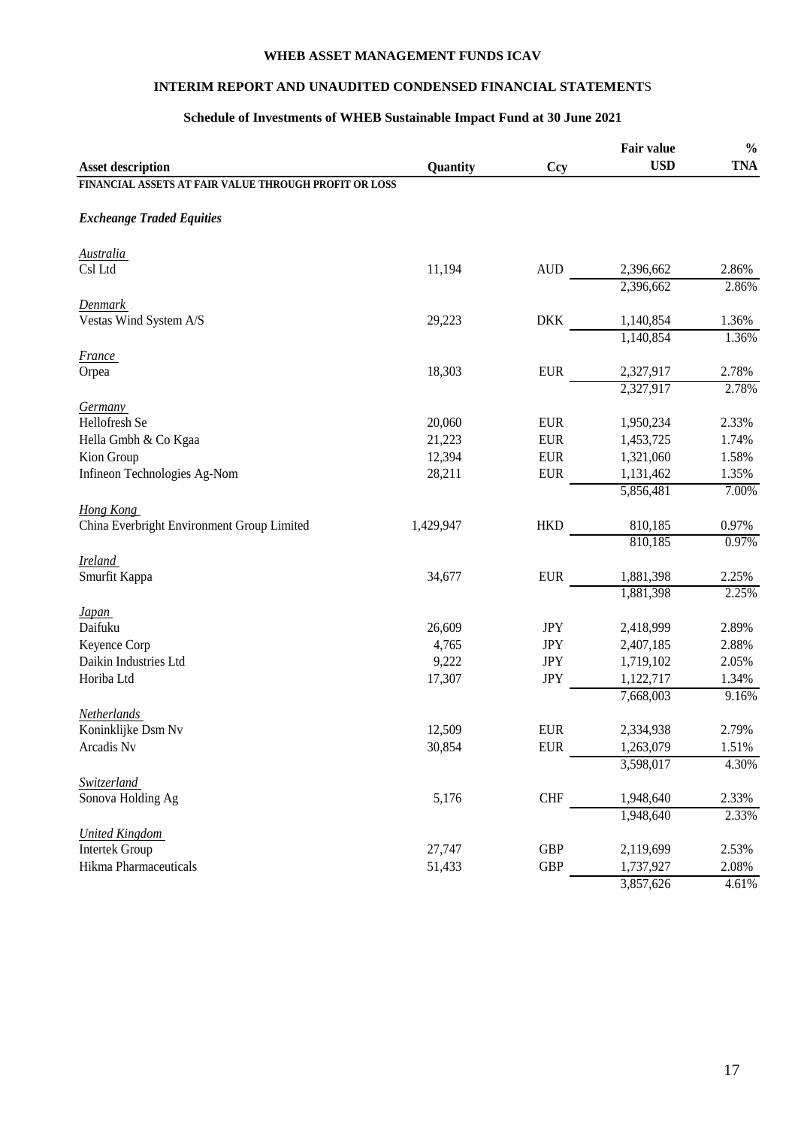# **INTERIM REPORT AND UNAUDITED CONDENSED FINANCIAL STATEMENT**S

# **Schedule of Investments of WHEB Sustainable Impact Fund at 30 June 2021**

|                                                       |           |            | Fair value | $\frac{0}{0}$ |
|-------------------------------------------------------|-----------|------------|------------|---------------|
| <b>Asset description</b>                              | Quantity  | <b>Ccy</b> | <b>USD</b> | <b>TNA</b>    |
| FINANCIAL ASSETS AT FAIR VALUE THROUGH PROFIT OR LOSS |           |            |            |               |
| <b>Excheange Traded Equities</b>                      |           |            |            |               |
| <b>Australia</b>                                      |           |            |            |               |
| Csl Ltd                                               | 11,194    | <b>AUD</b> | 2,396,662  | 2.86%         |
|                                                       |           |            | 2,396,662  | 2.86%         |
| <b>Denmark</b>                                        |           |            |            |               |
| Vestas Wind System A/S                                | 29,223    | <b>DKK</b> | 1,140,854  | 1.36%         |
|                                                       |           |            | 1,140,854  | 1.36%         |
| <i>France</i>                                         |           |            |            |               |
| Orpea                                                 | 18,303    | <b>EUR</b> | 2,327,917  | 2.78%         |
|                                                       |           |            | 2,327,917  | 2.78%         |
| <b>Germany</b>                                        |           |            |            |               |
| Hellofresh Se                                         | 20,060    | <b>EUR</b> | 1,950,234  | 2.33%         |
| Hella Gmbh & Co Kgaa                                  | 21,223    | <b>EUR</b> | 1,453,725  | 1.74%         |
| Kion Group                                            | 12,394    | <b>EUR</b> | 1,321,060  | 1.58%         |
| Infineon Technologies Ag-Nom                          | 28,211    | <b>EUR</b> | 1,131,462  | 1.35%         |
|                                                       |           |            | 5,856,481  | 7.00%         |
| Hong Kong                                             |           |            |            |               |
| China Everbright Environment Group Limited            | 1,429,947 | <b>HKD</b> | 810,185    | 0.97%         |
|                                                       |           |            | 810,185    | 0.97%         |
| <b>Ireland</b>                                        |           |            |            |               |
| Smurfit Kappa                                         | 34,677    | <b>EUR</b> | 1,881,398  | 2.25%         |
|                                                       |           |            | 1,881,398  | 2.25%         |
| <i>Japan</i>                                          |           |            |            |               |
| Daifuku                                               | 26,609    | <b>JPY</b> | 2,418,999  | 2.89%         |
| Keyence Corp                                          | 4,765     | <b>JPY</b> | 2,407,185  | 2.88%         |
| Daikin Industries Ltd                                 | 9,222     | <b>JPY</b> | 1,719,102  | 2.05%         |
| Horiba Ltd                                            | 17,307    | <b>JPY</b> | 1,122,717  | 1.34%         |
|                                                       |           |            | 7,668,003  | 9.16%         |
| Netherlands                                           |           |            |            |               |
| Koninklijke Dsm Nv                                    | 12,509    | <b>EUR</b> | 2,334,938  | 2.79%         |
| Arcadis Nv                                            | 30,854    | <b>EUR</b> | 1,263,079  | 1.51%         |
|                                                       |           |            | 3,598,017  | 4.30%         |
| Switzerland                                           |           |            |            |               |
| Sonova Holding Ag                                     | 5,176     | <b>CHF</b> | 1,948,640  | 2.33%         |
|                                                       |           |            | 1,948,640  | 2.33%         |
| <b>United Kingdom</b>                                 |           |            |            |               |
| <b>Intertek Group</b>                                 | 27,747    | <b>GBP</b> | 2,119,699  | 2.53%         |
| <b>Hikma Pharmaceuticals</b>                          | 51,433    | <b>GBP</b> | 1,737,927  | 2.08%         |
|                                                       |           |            | 3,857,626  | 4.61%         |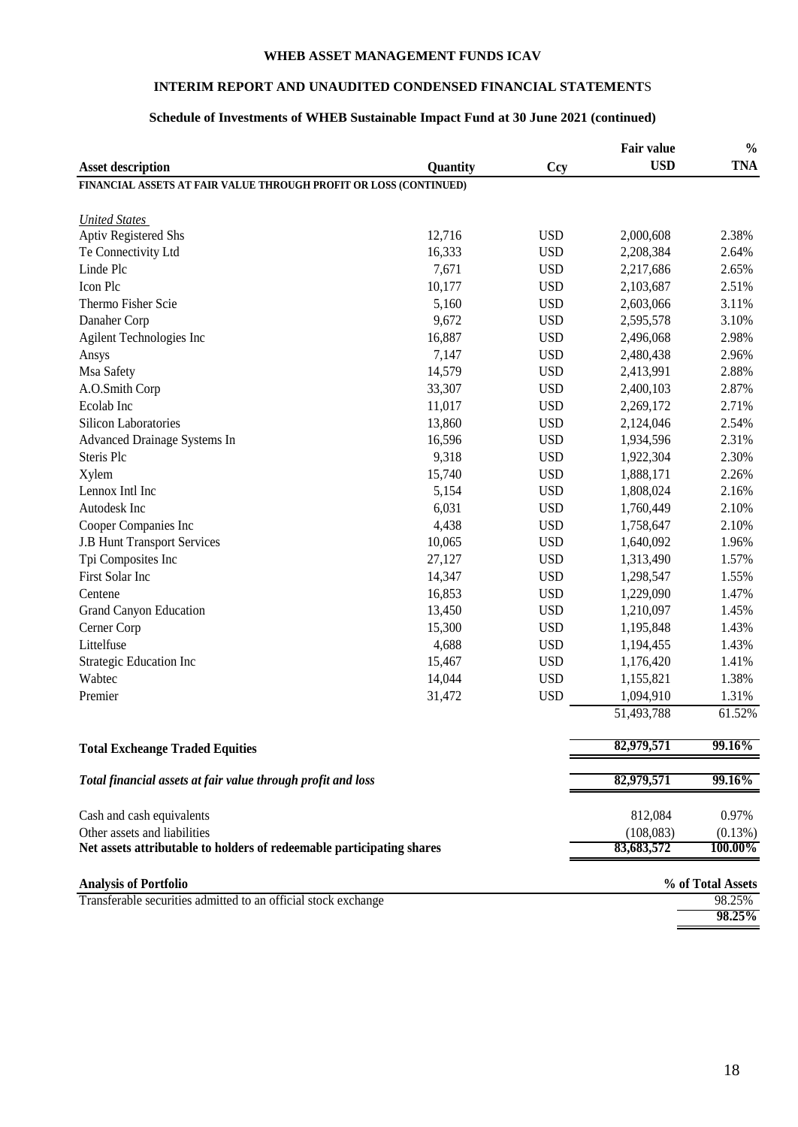# **INTERIM REPORT AND UNAUDITED CONDENSED FINANCIAL STATEMENT**S

# **Schedule of Investments of WHEB Sustainable Impact Fund at 30 June 2021 (continued)**

|                                                                       |            |            | <b>Fair value</b> | $\frac{0}{0}$     |
|-----------------------------------------------------------------------|------------|------------|-------------------|-------------------|
| <b>Asset description</b>                                              | Quantity   | <b>Ccy</b> | <b>USD</b>        | <b>TNA</b>        |
| FINANCIAL ASSETS AT FAIR VALUE THROUGH PROFIT OR LOSS (CONTINUED)     |            |            |                   |                   |
|                                                                       |            |            |                   |                   |
| <b>United States</b>                                                  |            |            |                   |                   |
| <b>Aptiv Registered Shs</b>                                           | 12,716     | <b>USD</b> | 2,000,608         | 2.38%             |
| Te Connectivity Ltd                                                   | 16,333     | <b>USD</b> | 2,208,384         | 2.64%             |
| Linde Plc                                                             | 7,671      | <b>USD</b> | 2,217,686         | 2.65%             |
| Icon Plc                                                              | 10,177     | <b>USD</b> | 2,103,687         | 2.51%             |
| Thermo Fisher Scie                                                    | 5,160      | <b>USD</b> | 2,603,066         | 3.11%             |
| Danaher Corp                                                          | 9,672      | <b>USD</b> | 2,595,578         | 3.10%             |
| Agilent Technologies Inc                                              | 16,887     | <b>USD</b> | 2,496,068         | 2.98%             |
| Ansys                                                                 | 7,147      | <b>USD</b> | 2,480,438         | 2.96%             |
| Msa Safety                                                            | 14,579     | <b>USD</b> | 2,413,991         | 2.88%             |
| A.O.Smith Corp                                                        | 33,307     | <b>USD</b> | 2,400,103         | 2.87%             |
| Ecolab Inc                                                            | 11,017     | <b>USD</b> | 2,269,172         | 2.71%             |
| Silicon Laboratories                                                  | 13,860     | <b>USD</b> | 2,124,046         | 2.54%             |
| Advanced Drainage Systems In                                          | 16,596     | <b>USD</b> | 1,934,596         | 2.31%             |
| Steris Plc                                                            | 9,318      | <b>USD</b> | 1,922,304         | 2.30%             |
| Xylem                                                                 | 15,740     | <b>USD</b> | 1,888,171         | 2.26%             |
| Lennox Intl Inc                                                       | 5,154      | <b>USD</b> | 1,808,024         | 2.16%             |
| Autodesk Inc                                                          | 6,031      | <b>USD</b> | 1,760,449         | 2.10%             |
| Cooper Companies Inc                                                  | 4,438      | <b>USD</b> | 1,758,647         | 2.10%             |
| <b>J.B Hunt Transport Services</b>                                    | 10,065     | <b>USD</b> | 1,640,092         | 1.96%             |
| Tpi Composites Inc                                                    | 27,127     | <b>USD</b> | 1,313,490         | 1.57%             |
| First Solar Inc                                                       | 14,347     | <b>USD</b> | 1,298,547         | 1.55%             |
| Centene                                                               | 16,853     | <b>USD</b> | 1,229,090         | 1.47%             |
| <b>Grand Canyon Education</b>                                         | 13,450     | <b>USD</b> | 1,210,097         | 1.45%             |
| Cerner Corp                                                           | 15,300     | <b>USD</b> | 1,195,848         | 1.43%             |
| Littelfuse                                                            | 4,688      | <b>USD</b> | 1,194,455         | 1.43%             |
| Strategic Education Inc                                               | 15,467     | <b>USD</b> | 1,176,420         | 1.41%             |
| Wabtec                                                                | 14,044     | <b>USD</b> | 1,155,821         | 1.38%             |
| Premier                                                               | 31,472     | <b>USD</b> | 1,094,910         | 1.31%             |
|                                                                       |            |            | 51,493,788        | 61.52%            |
|                                                                       |            |            |                   |                   |
| <b>Total Excheange Traded Equities</b>                                |            |            | 82,979,571        | 99.16%            |
| Total financial assets at fair value through profit and loss          | 82,979,571 | 99.16%     |                   |                   |
| Cash and cash equivalents                                             |            |            | 812,084           | 0.97%             |
| Other assets and liabilities                                          |            |            | (108,083)         | (0.13%)           |
| Net assets attributable to holders of redeemable participating shares |            |            | 83,683,572        | 100.00%           |
|                                                                       |            |            |                   |                   |
| <b>Analysis of Portfolio</b>                                          |            |            |                   | % of Total Assets |
| Transferable securities admitted to an official stock exchange        |            |            |                   | 98.25%            |
|                                                                       |            |            |                   | 98.25%            |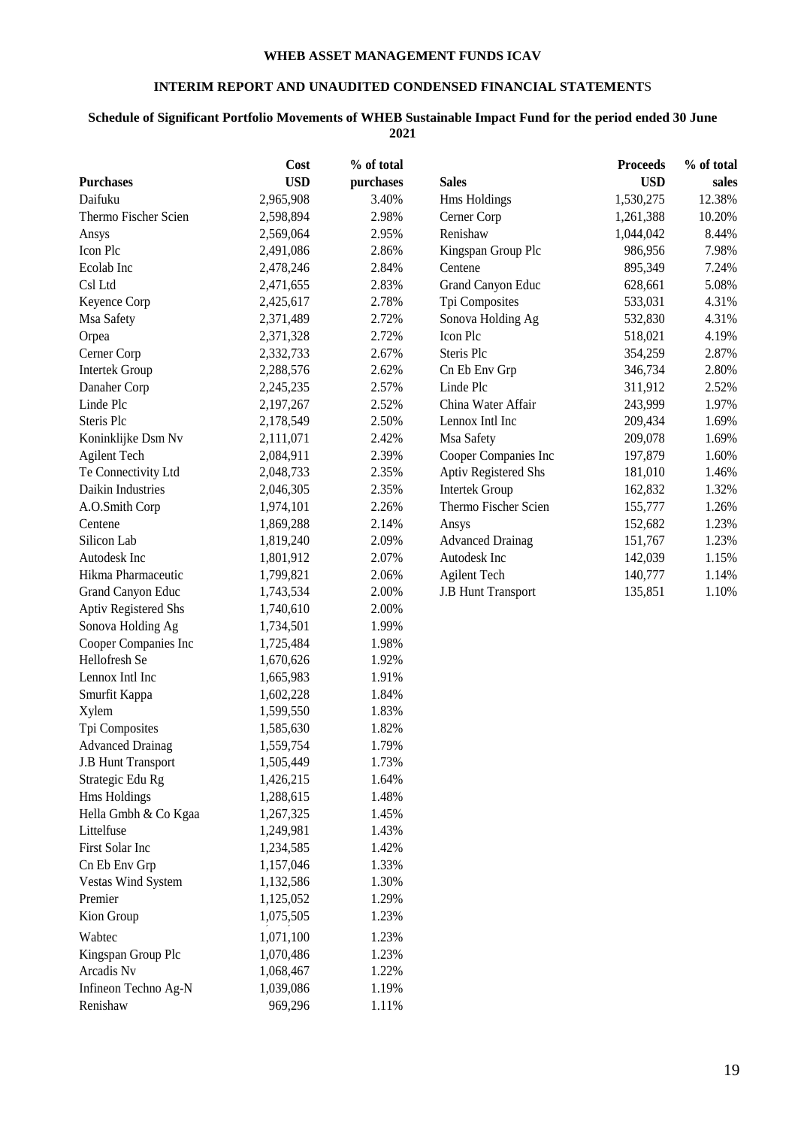# **INTERIM REPORT AND UNAUDITED CONDENSED FINANCIAL STATEMENT**S

# **Schedule of Significant Portfolio Movements of WHEB Sustainable Impact Fund for the period ended 30 June 2021**

| <b>USD</b><br><b>USD</b><br>purchases<br><b>Sales</b><br>sales<br>Daifuku<br>3.40%<br>12.38%<br>2,965,908<br>Hms Holdings<br>1,530,275<br>Thermo Fischer Scien<br>2.98%<br>Cerner Corp<br>10.20%<br>2,598,894<br>1,261,388<br>Renishaw<br>2.95%<br>8.44%<br>2,569,064<br>1,044,042<br>Ansys<br>2,491,086<br>2.86%<br>Kingspan Group Plc<br>986,956<br>7.98%<br>Ecolab Inc<br>2.84%<br>Centene<br>895,349<br>7.24%<br>2,478,246<br>2.83%<br><b>Grand Canyon Educ</b><br>628,661<br>5.08%<br>2,471,655<br>2.78%<br>Tpi Composites<br>533,031<br>4.31%<br>Keyence Corp<br>2,425,617<br>2.72%<br>4.31%<br>Msa Safety<br>Sonova Holding Ag<br>532,830<br>2,371,489<br>2.72%<br>Icon Plc<br>4.19%<br>Orpea<br>2,371,328<br>518,021<br>2.87%<br>2.67%<br>Steris Plc<br>2,332,733<br>354,259<br>2.80%<br><b>Intertek Group</b><br>2.62%<br>Cn Eb Env Grp<br>346,734<br>2,288,576<br>2.57%<br>2.52%<br>Danaher Corp<br>Linde Plc<br>311,912<br>2,245,235<br>243,999<br>2,197,267<br>2.52%<br>China Water Affair<br>1.97%<br>Steris Plc<br>2.50%<br>Lennox Intl Inc<br>1.69%<br>2,178,549<br>209,434<br>Koninklijke Dsm Nv<br>2.42%<br>Msa Safety<br>209,078<br>1.69%<br>2,111,071<br><b>Agilent Tech</b><br>2.39%<br>Cooper Companies Inc<br>197,879<br>1.60%<br>2,084,911<br>Aptiv Registered Shs<br>Te Connectivity Ltd<br>2.35%<br>1.46%<br>2,048,733<br>181,010<br>Daikin Industries<br>2.35%<br><b>Intertek Group</b><br>1.32%<br>2,046,305<br>162,832<br>1.26%<br>A.O.Smith Corp<br>2.26%<br>Thermo Fischer Scien<br>155,777<br>1,974,101<br>1.23%<br>Centene<br>2.14%<br>152,682<br>1,869,288<br>Ansys<br>Silicon Lab<br>1,819,240<br>2.09%<br><b>Advanced Drainag</b><br>151,767<br>1.23%<br>Autodesk Inc<br>2.07%<br>Autodesk Inc<br>142,039<br>1.15%<br>1,801,912<br>Hikma Pharmaceutic<br>1,799,821<br>2.06%<br><b>Agilent Tech</b><br>140,777<br>1.14%<br>Grand Canyon Educ<br>2.00%<br><b>J.B Hunt Transport</b><br>135,851<br>1.10%<br>1,743,534<br><b>Aptiv Registered Shs</b><br>2.00%<br>1,740,610<br>Sonova Holding Ag<br>1.99%<br>1,734,501<br>Cooper Companies Inc<br>1.98%<br>1,725,484<br>Hellofresh Se<br>1,670,626<br>1.92%<br>Lennox Intl Inc<br>1.91%<br>1,665,983<br>Smurfit Kappa<br>1.84%<br>1,602,228<br>1.83%<br>Xylem<br>1,599,550<br>Tpi Composites<br>1,585,630<br>1.82%<br>1.79%<br><b>Advanced Drainag</b><br>1,559,754<br>1.73%<br><b>J.B Hunt Transport</b><br>1,505,449<br>Strategic Edu Rg<br>1,426,215<br>1.64%<br>Hms Holdings<br>1,288,615<br>1.48%<br>Hella Gmbh & Co Kgaa<br>1,267,325<br>1.45%<br>Littelfuse<br>1,249,981<br>1.43%<br>First Solar Inc<br>1,234,585<br>1.42%<br>Cn Eb Env Grp<br>1.33%<br>1,157,046<br>1.30%<br>Vestas Wind System<br>1,132,586<br>Premier<br>1,125,052<br>1.29%<br>1,075,505<br>1.23%<br>Kion Group<br>Wabtec<br>1,071,100<br>1.23%<br>1.23%<br>Kingspan Group Plc<br>1,070,486<br>Arcadis Nv<br>1,068,467<br>1.22%<br>Infineon Techno Ag-N<br>1.19%<br>1,039,086<br>Renishaw<br>969,296<br>1.11% |                  | Cost | % of total | <b>Proceeds</b> | % of total |
|------------------------------------------------------------------------------------------------------------------------------------------------------------------------------------------------------------------------------------------------------------------------------------------------------------------------------------------------------------------------------------------------------------------------------------------------------------------------------------------------------------------------------------------------------------------------------------------------------------------------------------------------------------------------------------------------------------------------------------------------------------------------------------------------------------------------------------------------------------------------------------------------------------------------------------------------------------------------------------------------------------------------------------------------------------------------------------------------------------------------------------------------------------------------------------------------------------------------------------------------------------------------------------------------------------------------------------------------------------------------------------------------------------------------------------------------------------------------------------------------------------------------------------------------------------------------------------------------------------------------------------------------------------------------------------------------------------------------------------------------------------------------------------------------------------------------------------------------------------------------------------------------------------------------------------------------------------------------------------------------------------------------------------------------------------------------------------------------------------------------------------------------------------------------------------------------------------------------------------------------------------------------------------------------------------------------------------------------------------------------------------------------------------------------------------------------------------------------------------------------------------------------------------------------------------------------------------------------------------------------------------------------------------------------------------------------------------------------------------------------------------------------------------------------------------------------------------------------------------------------------------------------------------------------------------------------------------------------|------------------|------|------------|-----------------|------------|
|                                                                                                                                                                                                                                                                                                                                                                                                                                                                                                                                                                                                                                                                                                                                                                                                                                                                                                                                                                                                                                                                                                                                                                                                                                                                                                                                                                                                                                                                                                                                                                                                                                                                                                                                                                                                                                                                                                                                                                                                                                                                                                                                                                                                                                                                                                                                                                                                                                                                                                                                                                                                                                                                                                                                                                                                                                                                                                                                                                        | <b>Purchases</b> |      |            |                 |            |
|                                                                                                                                                                                                                                                                                                                                                                                                                                                                                                                                                                                                                                                                                                                                                                                                                                                                                                                                                                                                                                                                                                                                                                                                                                                                                                                                                                                                                                                                                                                                                                                                                                                                                                                                                                                                                                                                                                                                                                                                                                                                                                                                                                                                                                                                                                                                                                                                                                                                                                                                                                                                                                                                                                                                                                                                                                                                                                                                                                        |                  |      |            |                 |            |
|                                                                                                                                                                                                                                                                                                                                                                                                                                                                                                                                                                                                                                                                                                                                                                                                                                                                                                                                                                                                                                                                                                                                                                                                                                                                                                                                                                                                                                                                                                                                                                                                                                                                                                                                                                                                                                                                                                                                                                                                                                                                                                                                                                                                                                                                                                                                                                                                                                                                                                                                                                                                                                                                                                                                                                                                                                                                                                                                                                        |                  |      |            |                 |            |
|                                                                                                                                                                                                                                                                                                                                                                                                                                                                                                                                                                                                                                                                                                                                                                                                                                                                                                                                                                                                                                                                                                                                                                                                                                                                                                                                                                                                                                                                                                                                                                                                                                                                                                                                                                                                                                                                                                                                                                                                                                                                                                                                                                                                                                                                                                                                                                                                                                                                                                                                                                                                                                                                                                                                                                                                                                                                                                                                                                        |                  |      |            |                 |            |
|                                                                                                                                                                                                                                                                                                                                                                                                                                                                                                                                                                                                                                                                                                                                                                                                                                                                                                                                                                                                                                                                                                                                                                                                                                                                                                                                                                                                                                                                                                                                                                                                                                                                                                                                                                                                                                                                                                                                                                                                                                                                                                                                                                                                                                                                                                                                                                                                                                                                                                                                                                                                                                                                                                                                                                                                                                                                                                                                                                        | Icon Plc         |      |            |                 |            |
|                                                                                                                                                                                                                                                                                                                                                                                                                                                                                                                                                                                                                                                                                                                                                                                                                                                                                                                                                                                                                                                                                                                                                                                                                                                                                                                                                                                                                                                                                                                                                                                                                                                                                                                                                                                                                                                                                                                                                                                                                                                                                                                                                                                                                                                                                                                                                                                                                                                                                                                                                                                                                                                                                                                                                                                                                                                                                                                                                                        |                  |      |            |                 |            |
|                                                                                                                                                                                                                                                                                                                                                                                                                                                                                                                                                                                                                                                                                                                                                                                                                                                                                                                                                                                                                                                                                                                                                                                                                                                                                                                                                                                                                                                                                                                                                                                                                                                                                                                                                                                                                                                                                                                                                                                                                                                                                                                                                                                                                                                                                                                                                                                                                                                                                                                                                                                                                                                                                                                                                                                                                                                                                                                                                                        | Csl Ltd          |      |            |                 |            |
|                                                                                                                                                                                                                                                                                                                                                                                                                                                                                                                                                                                                                                                                                                                                                                                                                                                                                                                                                                                                                                                                                                                                                                                                                                                                                                                                                                                                                                                                                                                                                                                                                                                                                                                                                                                                                                                                                                                                                                                                                                                                                                                                                                                                                                                                                                                                                                                                                                                                                                                                                                                                                                                                                                                                                                                                                                                                                                                                                                        |                  |      |            |                 |            |
|                                                                                                                                                                                                                                                                                                                                                                                                                                                                                                                                                                                                                                                                                                                                                                                                                                                                                                                                                                                                                                                                                                                                                                                                                                                                                                                                                                                                                                                                                                                                                                                                                                                                                                                                                                                                                                                                                                                                                                                                                                                                                                                                                                                                                                                                                                                                                                                                                                                                                                                                                                                                                                                                                                                                                                                                                                                                                                                                                                        |                  |      |            |                 |            |
|                                                                                                                                                                                                                                                                                                                                                                                                                                                                                                                                                                                                                                                                                                                                                                                                                                                                                                                                                                                                                                                                                                                                                                                                                                                                                                                                                                                                                                                                                                                                                                                                                                                                                                                                                                                                                                                                                                                                                                                                                                                                                                                                                                                                                                                                                                                                                                                                                                                                                                                                                                                                                                                                                                                                                                                                                                                                                                                                                                        |                  |      |            |                 |            |
|                                                                                                                                                                                                                                                                                                                                                                                                                                                                                                                                                                                                                                                                                                                                                                                                                                                                                                                                                                                                                                                                                                                                                                                                                                                                                                                                                                                                                                                                                                                                                                                                                                                                                                                                                                                                                                                                                                                                                                                                                                                                                                                                                                                                                                                                                                                                                                                                                                                                                                                                                                                                                                                                                                                                                                                                                                                                                                                                                                        | Cerner Corp      |      |            |                 |            |
|                                                                                                                                                                                                                                                                                                                                                                                                                                                                                                                                                                                                                                                                                                                                                                                                                                                                                                                                                                                                                                                                                                                                                                                                                                                                                                                                                                                                                                                                                                                                                                                                                                                                                                                                                                                                                                                                                                                                                                                                                                                                                                                                                                                                                                                                                                                                                                                                                                                                                                                                                                                                                                                                                                                                                                                                                                                                                                                                                                        |                  |      |            |                 |            |
|                                                                                                                                                                                                                                                                                                                                                                                                                                                                                                                                                                                                                                                                                                                                                                                                                                                                                                                                                                                                                                                                                                                                                                                                                                                                                                                                                                                                                                                                                                                                                                                                                                                                                                                                                                                                                                                                                                                                                                                                                                                                                                                                                                                                                                                                                                                                                                                                                                                                                                                                                                                                                                                                                                                                                                                                                                                                                                                                                                        |                  |      |            |                 |            |
|                                                                                                                                                                                                                                                                                                                                                                                                                                                                                                                                                                                                                                                                                                                                                                                                                                                                                                                                                                                                                                                                                                                                                                                                                                                                                                                                                                                                                                                                                                                                                                                                                                                                                                                                                                                                                                                                                                                                                                                                                                                                                                                                                                                                                                                                                                                                                                                                                                                                                                                                                                                                                                                                                                                                                                                                                                                                                                                                                                        | Linde Plc        |      |            |                 |            |
|                                                                                                                                                                                                                                                                                                                                                                                                                                                                                                                                                                                                                                                                                                                                                                                                                                                                                                                                                                                                                                                                                                                                                                                                                                                                                                                                                                                                                                                                                                                                                                                                                                                                                                                                                                                                                                                                                                                                                                                                                                                                                                                                                                                                                                                                                                                                                                                                                                                                                                                                                                                                                                                                                                                                                                                                                                                                                                                                                                        |                  |      |            |                 |            |
|                                                                                                                                                                                                                                                                                                                                                                                                                                                                                                                                                                                                                                                                                                                                                                                                                                                                                                                                                                                                                                                                                                                                                                                                                                                                                                                                                                                                                                                                                                                                                                                                                                                                                                                                                                                                                                                                                                                                                                                                                                                                                                                                                                                                                                                                                                                                                                                                                                                                                                                                                                                                                                                                                                                                                                                                                                                                                                                                                                        |                  |      |            |                 |            |
|                                                                                                                                                                                                                                                                                                                                                                                                                                                                                                                                                                                                                                                                                                                                                                                                                                                                                                                                                                                                                                                                                                                                                                                                                                                                                                                                                                                                                                                                                                                                                                                                                                                                                                                                                                                                                                                                                                                                                                                                                                                                                                                                                                                                                                                                                                                                                                                                                                                                                                                                                                                                                                                                                                                                                                                                                                                                                                                                                                        |                  |      |            |                 |            |
|                                                                                                                                                                                                                                                                                                                                                                                                                                                                                                                                                                                                                                                                                                                                                                                                                                                                                                                                                                                                                                                                                                                                                                                                                                                                                                                                                                                                                                                                                                                                                                                                                                                                                                                                                                                                                                                                                                                                                                                                                                                                                                                                                                                                                                                                                                                                                                                                                                                                                                                                                                                                                                                                                                                                                                                                                                                                                                                                                                        |                  |      |            |                 |            |
|                                                                                                                                                                                                                                                                                                                                                                                                                                                                                                                                                                                                                                                                                                                                                                                                                                                                                                                                                                                                                                                                                                                                                                                                                                                                                                                                                                                                                                                                                                                                                                                                                                                                                                                                                                                                                                                                                                                                                                                                                                                                                                                                                                                                                                                                                                                                                                                                                                                                                                                                                                                                                                                                                                                                                                                                                                                                                                                                                                        |                  |      |            |                 |            |
|                                                                                                                                                                                                                                                                                                                                                                                                                                                                                                                                                                                                                                                                                                                                                                                                                                                                                                                                                                                                                                                                                                                                                                                                                                                                                                                                                                                                                                                                                                                                                                                                                                                                                                                                                                                                                                                                                                                                                                                                                                                                                                                                                                                                                                                                                                                                                                                                                                                                                                                                                                                                                                                                                                                                                                                                                                                                                                                                                                        |                  |      |            |                 |            |
|                                                                                                                                                                                                                                                                                                                                                                                                                                                                                                                                                                                                                                                                                                                                                                                                                                                                                                                                                                                                                                                                                                                                                                                                                                                                                                                                                                                                                                                                                                                                                                                                                                                                                                                                                                                                                                                                                                                                                                                                                                                                                                                                                                                                                                                                                                                                                                                                                                                                                                                                                                                                                                                                                                                                                                                                                                                                                                                                                                        |                  |      |            |                 |            |
|                                                                                                                                                                                                                                                                                                                                                                                                                                                                                                                                                                                                                                                                                                                                                                                                                                                                                                                                                                                                                                                                                                                                                                                                                                                                                                                                                                                                                                                                                                                                                                                                                                                                                                                                                                                                                                                                                                                                                                                                                                                                                                                                                                                                                                                                                                                                                                                                                                                                                                                                                                                                                                                                                                                                                                                                                                                                                                                                                                        |                  |      |            |                 |            |
|                                                                                                                                                                                                                                                                                                                                                                                                                                                                                                                                                                                                                                                                                                                                                                                                                                                                                                                                                                                                                                                                                                                                                                                                                                                                                                                                                                                                                                                                                                                                                                                                                                                                                                                                                                                                                                                                                                                                                                                                                                                                                                                                                                                                                                                                                                                                                                                                                                                                                                                                                                                                                                                                                                                                                                                                                                                                                                                                                                        |                  |      |            |                 |            |
|                                                                                                                                                                                                                                                                                                                                                                                                                                                                                                                                                                                                                                                                                                                                                                                                                                                                                                                                                                                                                                                                                                                                                                                                                                                                                                                                                                                                                                                                                                                                                                                                                                                                                                                                                                                                                                                                                                                                                                                                                                                                                                                                                                                                                                                                                                                                                                                                                                                                                                                                                                                                                                                                                                                                                                                                                                                                                                                                                                        |                  |      |            |                 |            |
|                                                                                                                                                                                                                                                                                                                                                                                                                                                                                                                                                                                                                                                                                                                                                                                                                                                                                                                                                                                                                                                                                                                                                                                                                                                                                                                                                                                                                                                                                                                                                                                                                                                                                                                                                                                                                                                                                                                                                                                                                                                                                                                                                                                                                                                                                                                                                                                                                                                                                                                                                                                                                                                                                                                                                                                                                                                                                                                                                                        |                  |      |            |                 |            |
|                                                                                                                                                                                                                                                                                                                                                                                                                                                                                                                                                                                                                                                                                                                                                                                                                                                                                                                                                                                                                                                                                                                                                                                                                                                                                                                                                                                                                                                                                                                                                                                                                                                                                                                                                                                                                                                                                                                                                                                                                                                                                                                                                                                                                                                                                                                                                                                                                                                                                                                                                                                                                                                                                                                                                                                                                                                                                                                                                                        |                  |      |            |                 |            |
|                                                                                                                                                                                                                                                                                                                                                                                                                                                                                                                                                                                                                                                                                                                                                                                                                                                                                                                                                                                                                                                                                                                                                                                                                                                                                                                                                                                                                                                                                                                                                                                                                                                                                                                                                                                                                                                                                                                                                                                                                                                                                                                                                                                                                                                                                                                                                                                                                                                                                                                                                                                                                                                                                                                                                                                                                                                                                                                                                                        |                  |      |            |                 |            |
|                                                                                                                                                                                                                                                                                                                                                                                                                                                                                                                                                                                                                                                                                                                                                                                                                                                                                                                                                                                                                                                                                                                                                                                                                                                                                                                                                                                                                                                                                                                                                                                                                                                                                                                                                                                                                                                                                                                                                                                                                                                                                                                                                                                                                                                                                                                                                                                                                                                                                                                                                                                                                                                                                                                                                                                                                                                                                                                                                                        |                  |      |            |                 |            |
|                                                                                                                                                                                                                                                                                                                                                                                                                                                                                                                                                                                                                                                                                                                                                                                                                                                                                                                                                                                                                                                                                                                                                                                                                                                                                                                                                                                                                                                                                                                                                                                                                                                                                                                                                                                                                                                                                                                                                                                                                                                                                                                                                                                                                                                                                                                                                                                                                                                                                                                                                                                                                                                                                                                                                                                                                                                                                                                                                                        |                  |      |            |                 |            |
|                                                                                                                                                                                                                                                                                                                                                                                                                                                                                                                                                                                                                                                                                                                                                                                                                                                                                                                                                                                                                                                                                                                                                                                                                                                                                                                                                                                                                                                                                                                                                                                                                                                                                                                                                                                                                                                                                                                                                                                                                                                                                                                                                                                                                                                                                                                                                                                                                                                                                                                                                                                                                                                                                                                                                                                                                                                                                                                                                                        |                  |      |            |                 |            |
|                                                                                                                                                                                                                                                                                                                                                                                                                                                                                                                                                                                                                                                                                                                                                                                                                                                                                                                                                                                                                                                                                                                                                                                                                                                                                                                                                                                                                                                                                                                                                                                                                                                                                                                                                                                                                                                                                                                                                                                                                                                                                                                                                                                                                                                                                                                                                                                                                                                                                                                                                                                                                                                                                                                                                                                                                                                                                                                                                                        |                  |      |            |                 |            |
|                                                                                                                                                                                                                                                                                                                                                                                                                                                                                                                                                                                                                                                                                                                                                                                                                                                                                                                                                                                                                                                                                                                                                                                                                                                                                                                                                                                                                                                                                                                                                                                                                                                                                                                                                                                                                                                                                                                                                                                                                                                                                                                                                                                                                                                                                                                                                                                                                                                                                                                                                                                                                                                                                                                                                                                                                                                                                                                                                                        |                  |      |            |                 |            |
|                                                                                                                                                                                                                                                                                                                                                                                                                                                                                                                                                                                                                                                                                                                                                                                                                                                                                                                                                                                                                                                                                                                                                                                                                                                                                                                                                                                                                                                                                                                                                                                                                                                                                                                                                                                                                                                                                                                                                                                                                                                                                                                                                                                                                                                                                                                                                                                                                                                                                                                                                                                                                                                                                                                                                                                                                                                                                                                                                                        |                  |      |            |                 |            |
|                                                                                                                                                                                                                                                                                                                                                                                                                                                                                                                                                                                                                                                                                                                                                                                                                                                                                                                                                                                                                                                                                                                                                                                                                                                                                                                                                                                                                                                                                                                                                                                                                                                                                                                                                                                                                                                                                                                                                                                                                                                                                                                                                                                                                                                                                                                                                                                                                                                                                                                                                                                                                                                                                                                                                                                                                                                                                                                                                                        |                  |      |            |                 |            |
|                                                                                                                                                                                                                                                                                                                                                                                                                                                                                                                                                                                                                                                                                                                                                                                                                                                                                                                                                                                                                                                                                                                                                                                                                                                                                                                                                                                                                                                                                                                                                                                                                                                                                                                                                                                                                                                                                                                                                                                                                                                                                                                                                                                                                                                                                                                                                                                                                                                                                                                                                                                                                                                                                                                                                                                                                                                                                                                                                                        |                  |      |            |                 |            |
|                                                                                                                                                                                                                                                                                                                                                                                                                                                                                                                                                                                                                                                                                                                                                                                                                                                                                                                                                                                                                                                                                                                                                                                                                                                                                                                                                                                                                                                                                                                                                                                                                                                                                                                                                                                                                                                                                                                                                                                                                                                                                                                                                                                                                                                                                                                                                                                                                                                                                                                                                                                                                                                                                                                                                                                                                                                                                                                                                                        |                  |      |            |                 |            |
|                                                                                                                                                                                                                                                                                                                                                                                                                                                                                                                                                                                                                                                                                                                                                                                                                                                                                                                                                                                                                                                                                                                                                                                                                                                                                                                                                                                                                                                                                                                                                                                                                                                                                                                                                                                                                                                                                                                                                                                                                                                                                                                                                                                                                                                                                                                                                                                                                                                                                                                                                                                                                                                                                                                                                                                                                                                                                                                                                                        |                  |      |            |                 |            |
|                                                                                                                                                                                                                                                                                                                                                                                                                                                                                                                                                                                                                                                                                                                                                                                                                                                                                                                                                                                                                                                                                                                                                                                                                                                                                                                                                                                                                                                                                                                                                                                                                                                                                                                                                                                                                                                                                                                                                                                                                                                                                                                                                                                                                                                                                                                                                                                                                                                                                                                                                                                                                                                                                                                                                                                                                                                                                                                                                                        |                  |      |            |                 |            |
|                                                                                                                                                                                                                                                                                                                                                                                                                                                                                                                                                                                                                                                                                                                                                                                                                                                                                                                                                                                                                                                                                                                                                                                                                                                                                                                                                                                                                                                                                                                                                                                                                                                                                                                                                                                                                                                                                                                                                                                                                                                                                                                                                                                                                                                                                                                                                                                                                                                                                                                                                                                                                                                                                                                                                                                                                                                                                                                                                                        |                  |      |            |                 |            |
|                                                                                                                                                                                                                                                                                                                                                                                                                                                                                                                                                                                                                                                                                                                                                                                                                                                                                                                                                                                                                                                                                                                                                                                                                                                                                                                                                                                                                                                                                                                                                                                                                                                                                                                                                                                                                                                                                                                                                                                                                                                                                                                                                                                                                                                                                                                                                                                                                                                                                                                                                                                                                                                                                                                                                                                                                                                                                                                                                                        |                  |      |            |                 |            |
|                                                                                                                                                                                                                                                                                                                                                                                                                                                                                                                                                                                                                                                                                                                                                                                                                                                                                                                                                                                                                                                                                                                                                                                                                                                                                                                                                                                                                                                                                                                                                                                                                                                                                                                                                                                                                                                                                                                                                                                                                                                                                                                                                                                                                                                                                                                                                                                                                                                                                                                                                                                                                                                                                                                                                                                                                                                                                                                                                                        |                  |      |            |                 |            |
|                                                                                                                                                                                                                                                                                                                                                                                                                                                                                                                                                                                                                                                                                                                                                                                                                                                                                                                                                                                                                                                                                                                                                                                                                                                                                                                                                                                                                                                                                                                                                                                                                                                                                                                                                                                                                                                                                                                                                                                                                                                                                                                                                                                                                                                                                                                                                                                                                                                                                                                                                                                                                                                                                                                                                                                                                                                                                                                                                                        |                  |      |            |                 |            |
|                                                                                                                                                                                                                                                                                                                                                                                                                                                                                                                                                                                                                                                                                                                                                                                                                                                                                                                                                                                                                                                                                                                                                                                                                                                                                                                                                                                                                                                                                                                                                                                                                                                                                                                                                                                                                                                                                                                                                                                                                                                                                                                                                                                                                                                                                                                                                                                                                                                                                                                                                                                                                                                                                                                                                                                                                                                                                                                                                                        |                  |      |            |                 |            |
|                                                                                                                                                                                                                                                                                                                                                                                                                                                                                                                                                                                                                                                                                                                                                                                                                                                                                                                                                                                                                                                                                                                                                                                                                                                                                                                                                                                                                                                                                                                                                                                                                                                                                                                                                                                                                                                                                                                                                                                                                                                                                                                                                                                                                                                                                                                                                                                                                                                                                                                                                                                                                                                                                                                                                                                                                                                                                                                                                                        |                  |      |            |                 |            |
|                                                                                                                                                                                                                                                                                                                                                                                                                                                                                                                                                                                                                                                                                                                                                                                                                                                                                                                                                                                                                                                                                                                                                                                                                                                                                                                                                                                                                                                                                                                                                                                                                                                                                                                                                                                                                                                                                                                                                                                                                                                                                                                                                                                                                                                                                                                                                                                                                                                                                                                                                                                                                                                                                                                                                                                                                                                                                                                                                                        |                  |      |            |                 |            |
|                                                                                                                                                                                                                                                                                                                                                                                                                                                                                                                                                                                                                                                                                                                                                                                                                                                                                                                                                                                                                                                                                                                                                                                                                                                                                                                                                                                                                                                                                                                                                                                                                                                                                                                                                                                                                                                                                                                                                                                                                                                                                                                                                                                                                                                                                                                                                                                                                                                                                                                                                                                                                                                                                                                                                                                                                                                                                                                                                                        |                  |      |            |                 |            |
|                                                                                                                                                                                                                                                                                                                                                                                                                                                                                                                                                                                                                                                                                                                                                                                                                                                                                                                                                                                                                                                                                                                                                                                                                                                                                                                                                                                                                                                                                                                                                                                                                                                                                                                                                                                                                                                                                                                                                                                                                                                                                                                                                                                                                                                                                                                                                                                                                                                                                                                                                                                                                                                                                                                                                                                                                                                                                                                                                                        |                  |      |            |                 |            |
|                                                                                                                                                                                                                                                                                                                                                                                                                                                                                                                                                                                                                                                                                                                                                                                                                                                                                                                                                                                                                                                                                                                                                                                                                                                                                                                                                                                                                                                                                                                                                                                                                                                                                                                                                                                                                                                                                                                                                                                                                                                                                                                                                                                                                                                                                                                                                                                                                                                                                                                                                                                                                                                                                                                                                                                                                                                                                                                                                                        |                  |      |            |                 |            |
|                                                                                                                                                                                                                                                                                                                                                                                                                                                                                                                                                                                                                                                                                                                                                                                                                                                                                                                                                                                                                                                                                                                                                                                                                                                                                                                                                                                                                                                                                                                                                                                                                                                                                                                                                                                                                                                                                                                                                                                                                                                                                                                                                                                                                                                                                                                                                                                                                                                                                                                                                                                                                                                                                                                                                                                                                                                                                                                                                                        |                  |      |            |                 |            |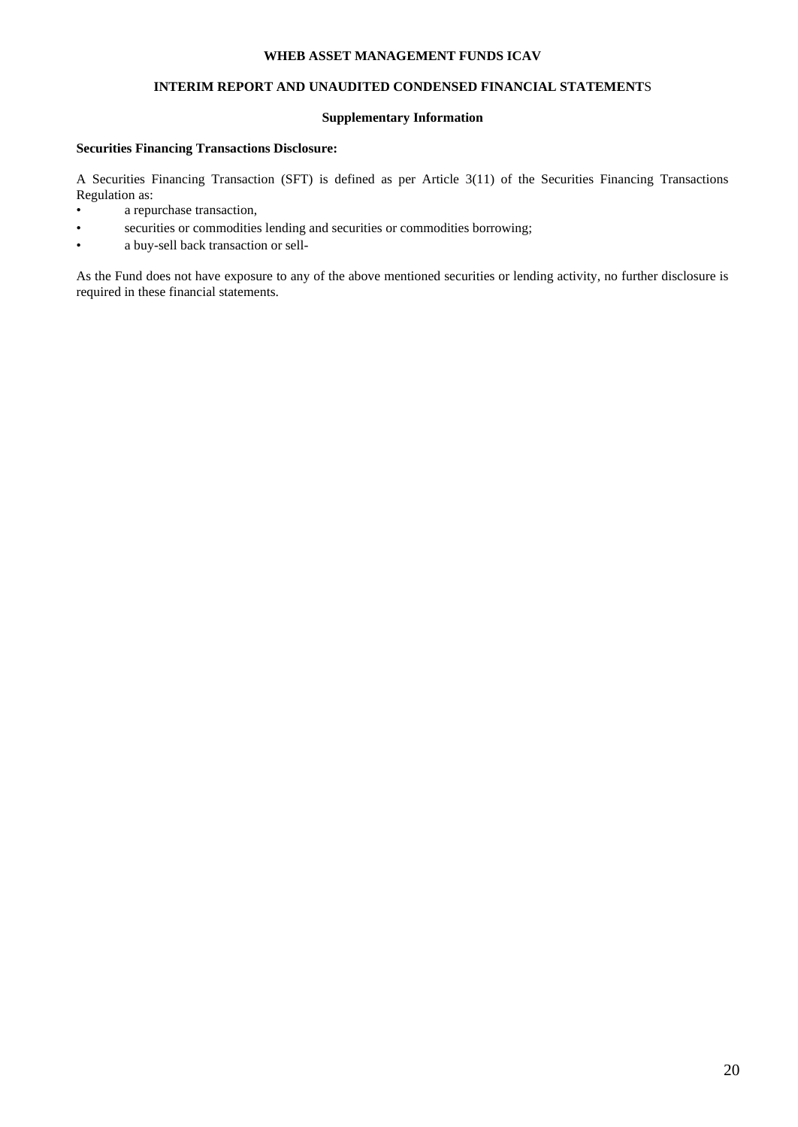# **INTERIM REPORT AND UNAUDITED CONDENSED FINANCIAL STATEMENT**S

# **Supplementary Information**

# **Securities Financing Transactions Disclosure:**

A Securities Financing Transaction (SFT) is defined as per Article 3(11) of the Securities Financing Transactions Regulation as:

- a repurchase transaction,
- securities or commodities lending and securities or commodities borrowing;
- a buy-sell back transaction or sell-

As the Fund does not have exposure to any of the above mentioned securities or lending activity, no further disclosure is required in these financial statements.